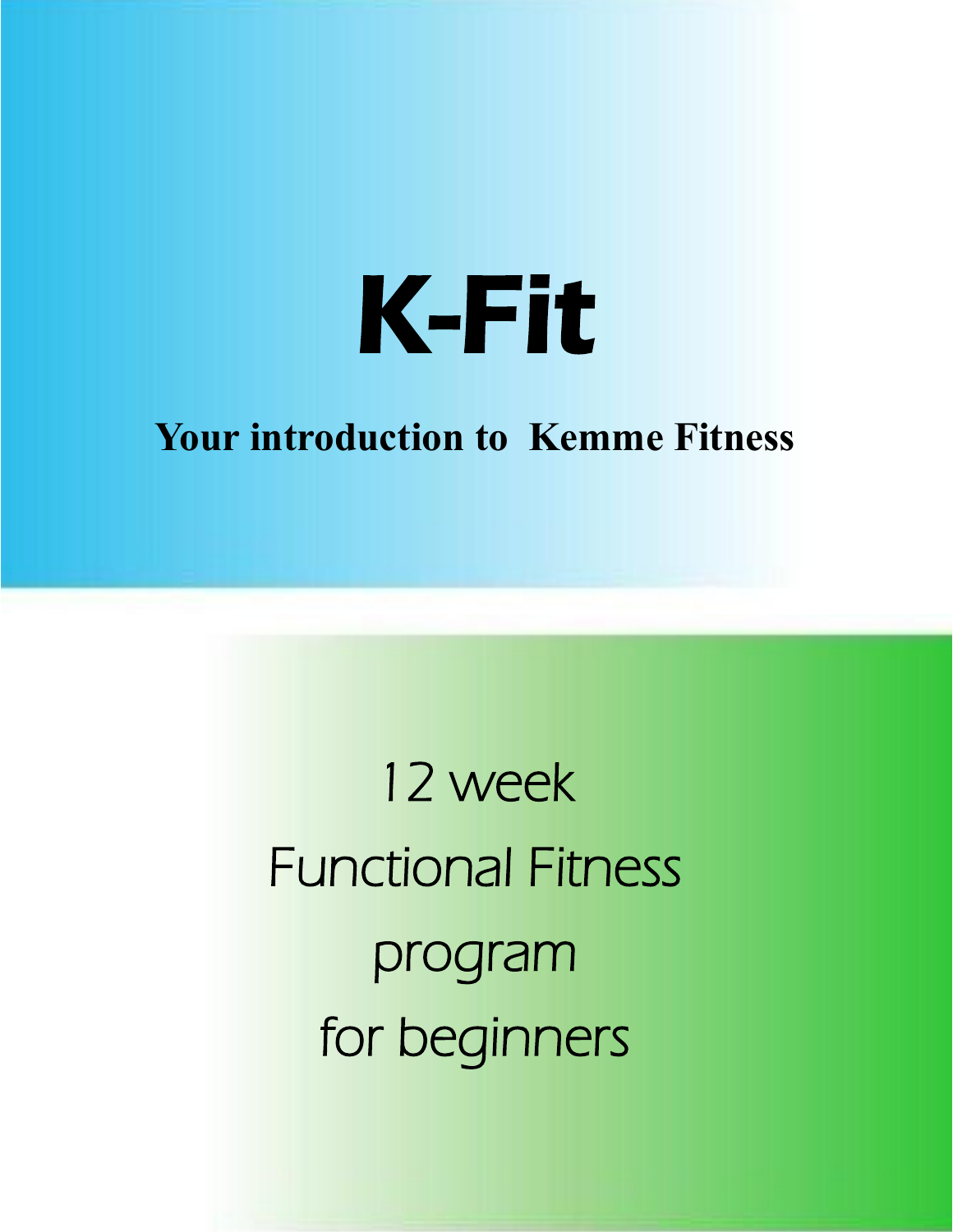

### **Your introduction to Kemme Fitness**

12 week Functional Fitness program for beginners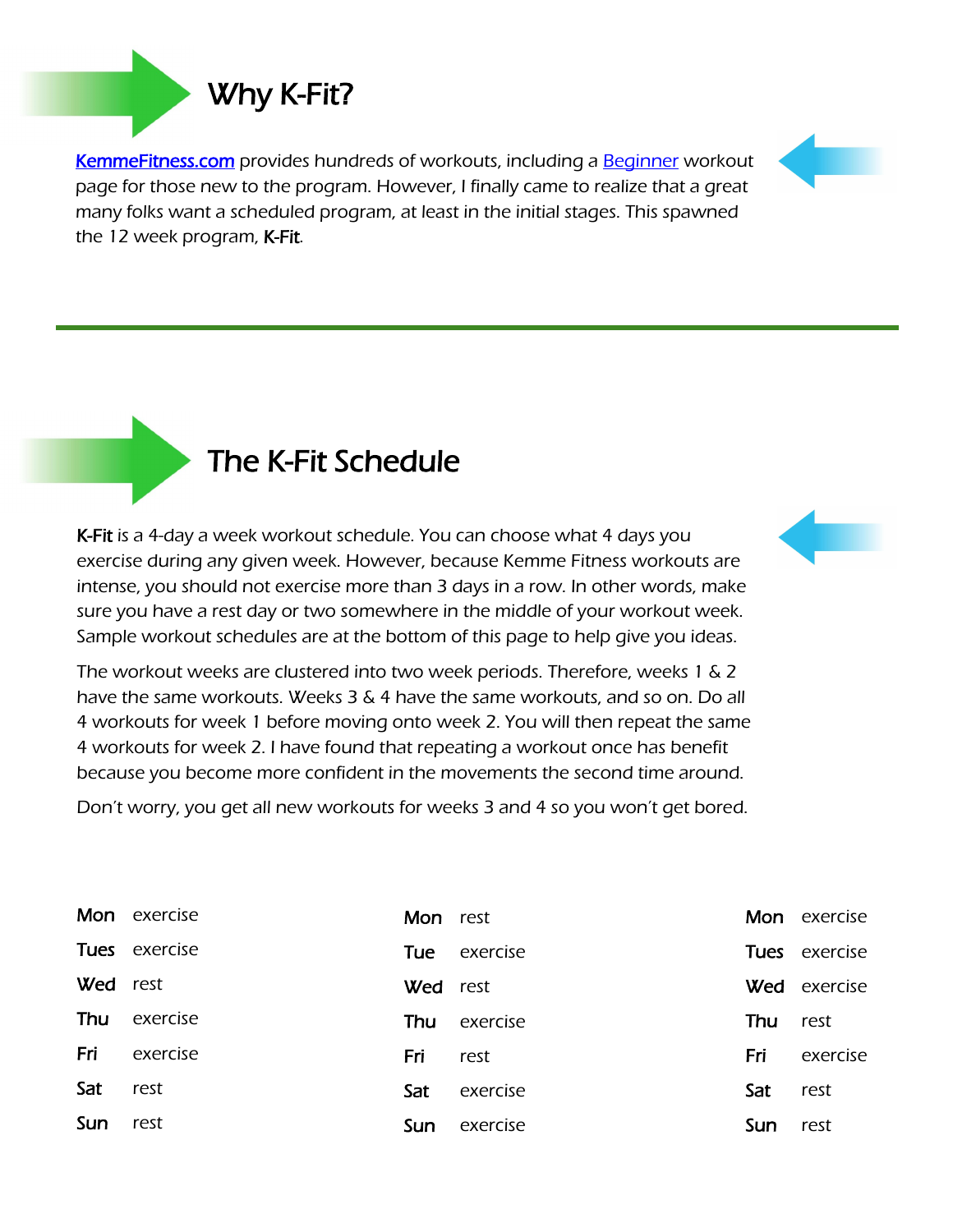[KemmeFitness.com p](http://kemmefitness.com/)rovides hundreds of workouts, including a [Beginner](http://kemmefitness.com/beginners) workout page for those new to the program. However, I finally came to realize that a great many folks want a scheduled program, at least in the initial stages. This spawned the 12 week program, K-Fit.

### The K-Fit Schedule

K-Fit is a 4-day a week workout schedule. You can choose what 4 days you exercise during any given week. However, because Kemme Fitness workouts are intense, you should not exercise more than 3 days in a row. In other words, make sure you have a rest day or two somewhere in the middle of your workout week. Sample workout schedules are at the bottom of this page to help give you ideas.

The workout weeks are clustered into two week periods. Therefore, weeks 1 & 2 have the same workouts. Weeks 3 & 4 have the same workouts, and so on. Do all 4 workouts for week 1 before moving onto week 2. You will then repeat the same 4 workouts for week 2. I have found that repeating a workout once has benefit because you become more confident in the movements the second time around.

Don't worry, you get all new workouts for weeks 3 and 4 so you won't get bored.

|          | Mon exercise  | Mon rest |              |                 | Mon exercise        |
|----------|---------------|----------|--------------|-----------------|---------------------|
|          | Tues exercise |          | Tue exercise |                 | Tues exercise       |
| Wed rest |               | Wed rest |              |                 | <b>Wed</b> exercise |
| Thu      | exercise      | Thu      | exercise     | <b>Thu</b> rest |                     |
| Fri      | exercise      | Fri      | rest         | Fri             | exercise            |
| Sat      | rest          | Sat      | exercise     | Sat             | rest                |
| Sun      | rest          | Sun      | exercise     | Sun             | rest                |





### Why K-Fit?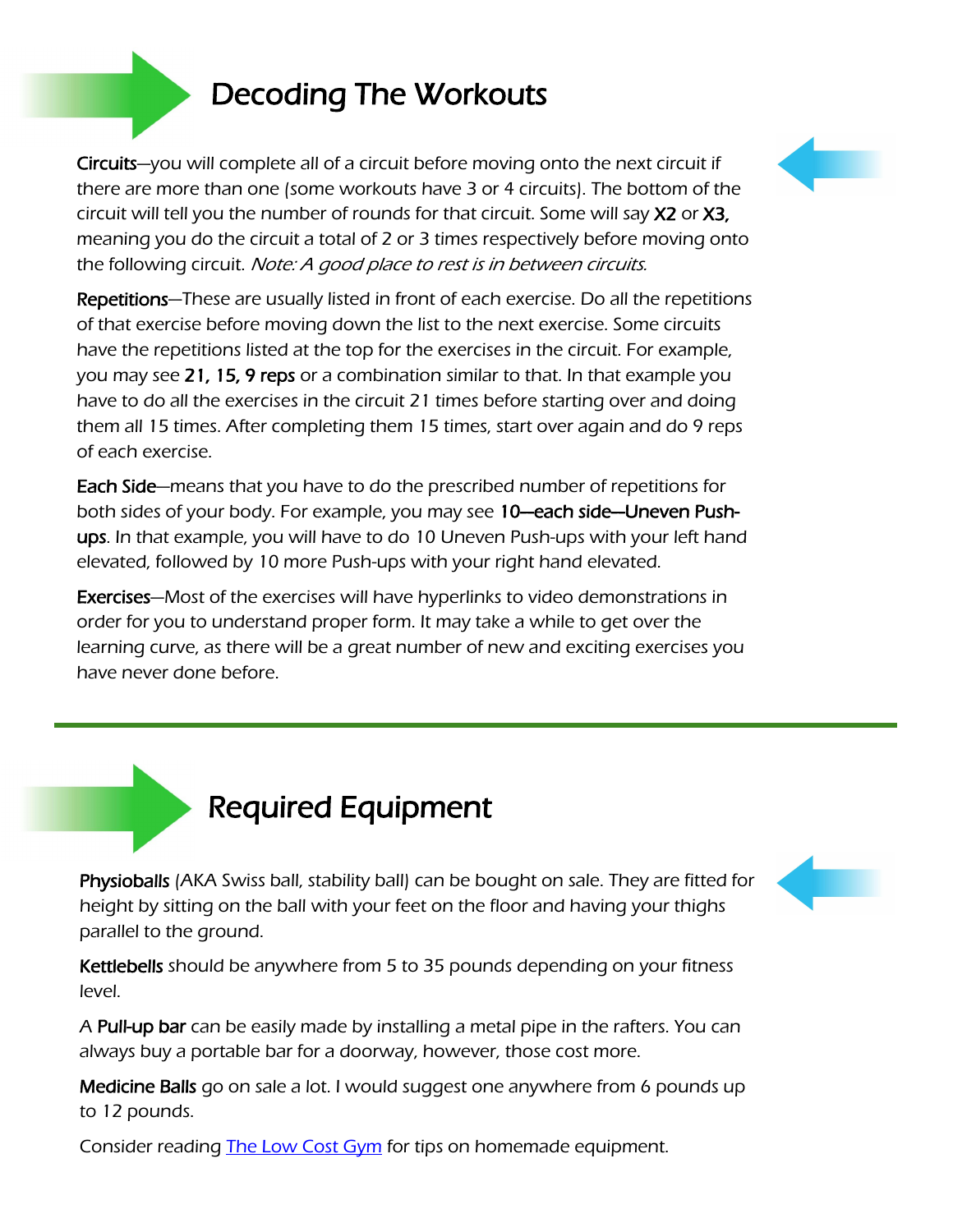### Decoding The Workouts

Circuits—you will complete all of a circuit before moving onto the next circuit if there are more than one (some workouts have 3 or 4 circuits). The bottom of the circuit will tell you the number of rounds for that circuit. Some will say X2 or X3, meaning you do the circuit a total of 2 or 3 times respectively before moving onto the following circuit. Note: A good place to rest is in between circuits.

Repetitions—These are usually listed in front of each exercise. Do all the repetitions of that exercise before moving down the list to the next exercise. Some circuits have the repetitions listed at the top for the exercises in the circuit. For example, you may see 21, 15, 9 reps or a combination similar to that. In that example you have to do all the exercises in the circuit 21 times before starting over and doing them all 15 times. After completing them 15 times, start over again and do 9 reps of each exercise.

Each Side—means that you have to do the prescribed number of repetitions for both sides of your body. For example, you may see 10—each side—Uneven Pushups. In that example, you will have to do 10 Uneven Push-ups with your left hand elevated, followed by 10 more Push-ups with your right hand elevated.

Exercises—Most of the exercises will have hyperlinks to video demonstrations in order for you to understand proper form. It may take a while to get over the learning curve, as there will be a great number of new and exciting exercises you have never done before.

### Required Equipment

Physioballs (AKA Swiss ball, stability ball) can be bought on sale. They are fitted for height by sitting on the ball with your feet on the floor and having your thighs parallel to the ground.

Kettlebells should be anywhere from 5 to 35 pounds depending on your fitness level.

A Pull-up bar can be easily made by installing a metal pipe in the rafters. You can always buy a portable bar for a doorway, however, those cost more.

Medicine Balls go on sale a lot. I would suggest one anywhere from 6 pounds up to 12 pounds.

Consider reading **The Low Cost Gym** for tips on homemade equipment.



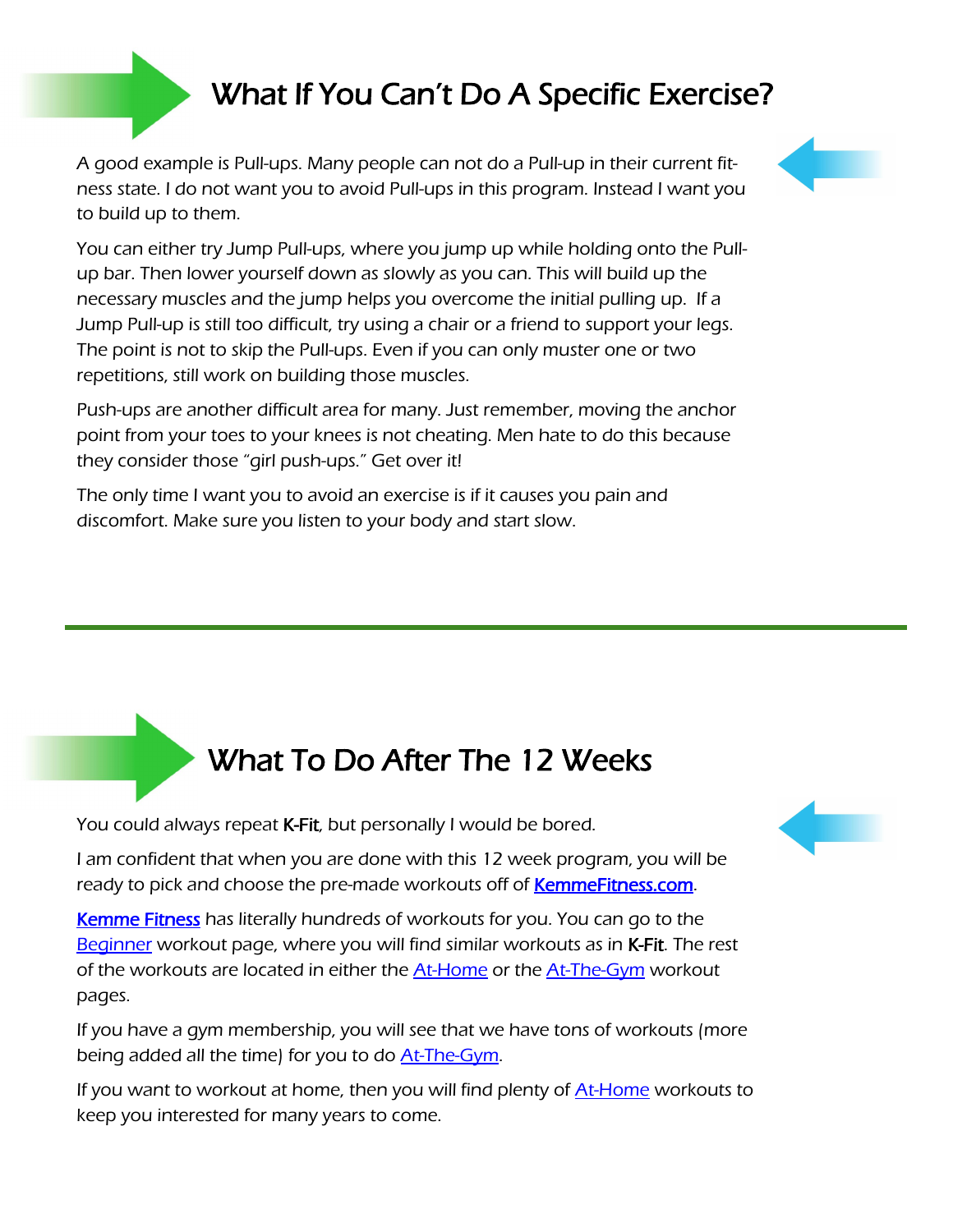### What If You Can't Do A Specific Exercise?

A good example is Pull-ups. Many people can not do a Pull-up in their current fitness state. I do not want you to avoid Pull-ups in this program. Instead I want you to build up to them.



You can either try Jump Pull-ups, where you jump up while holding onto the Pullup bar. Then lower yourself down as slowly as you can. This will build up the necessary muscles and the jump helps you overcome the initial pulling up. If a Jump Pull-up is still too difficult, try using a chair or a friend to support your legs. The point is not to skip the Pull-ups. Even if you can only muster one or two repetitions, still work on building those muscles.

Push-ups are another difficult area for many. Just remember, moving the anchor point from your toes to your knees is not cheating. Men hate to do this because they consider those "girl push-ups." Get over it!

The only time I want you to avoid an exercise is if it causes you pain and discomfort. Make sure you listen to your body and start slow.

### What To Do After The 12 Weeks

You could always repeat K-Fit, but personally I would be bored.

I am confident that when you are done with this 12 week program, you will be ready to pick and choose the pre-made workouts off of **KemmeFitness.com**.

[Kemme Fitness h](http://kemmefitness.com)as literally hundreds of workouts for you. You can go to the [Beginner](http://kemmefitness.com/beginners) workout page, where you will find similar workouts as in K-Fit. The rest of the workouts are located in either the **[At-Home](http://kemmefitness.com/workouts/at-home)** or the **At-The-Gym** workout pages.

If you have a gym membership, you will see that we have tons of workouts (more being added all the time) for you to do [At-The-Gym.](http://kemmefitness.com/workouts/at-the-gym)

If you want to workout at home, then you will find plenty of **[At-Home](http://kemmefitness.com/workouts/at-home)** workouts to keep you interested for many years to come.

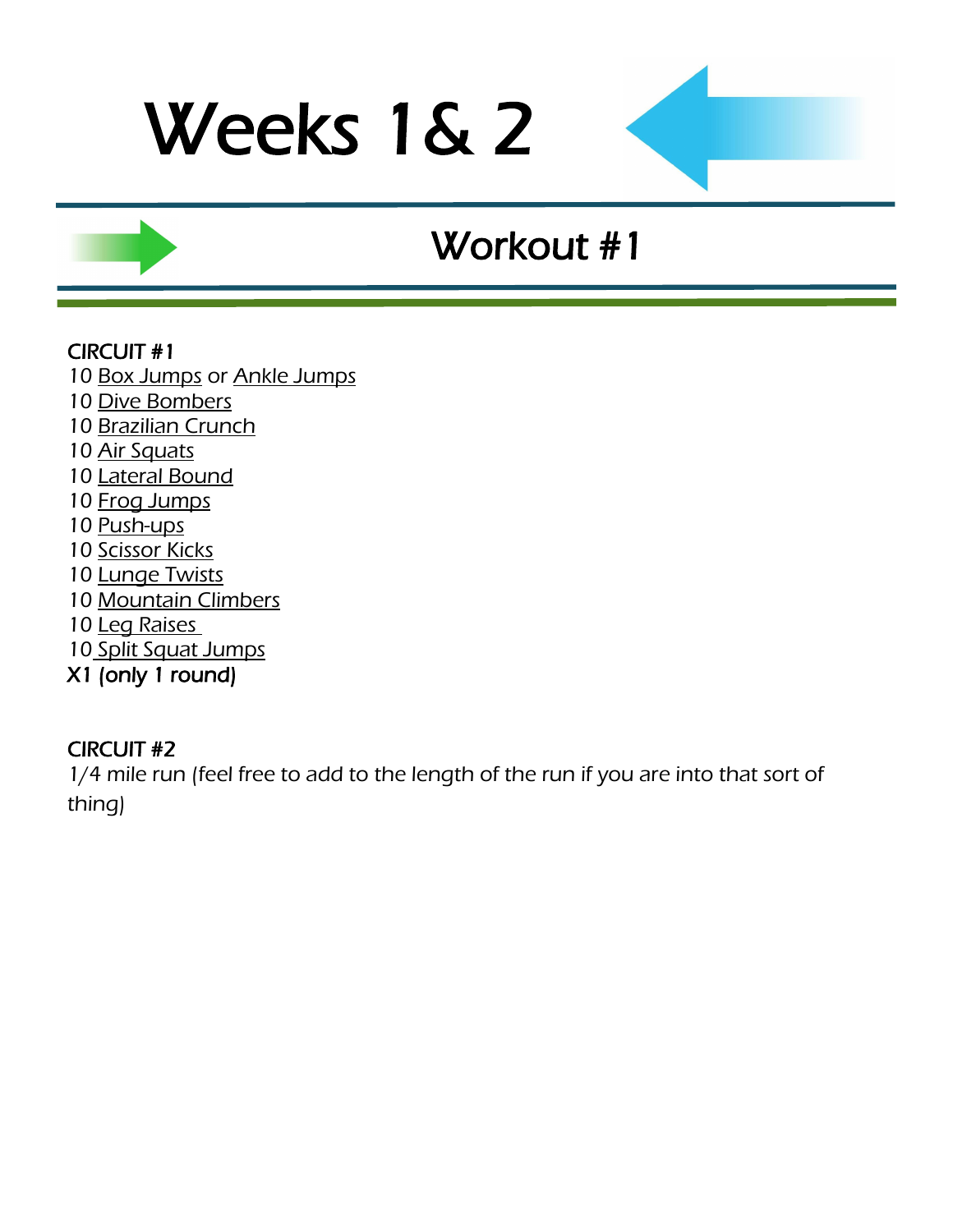### Workout #1

### CIRCUIT #1

[Box Jumps](http://www.youtube.com/watch?v=UweKybOuivA) or [Ankle Jumps](http://www.youtube.com/watch?v=Yrbq2ytO78s)

- [Dive Bombers](http://www.youtube.com/watch?v=66-v0AaANHk)
- [Brazilian Crunch](http://www.youtube.com/watch?v=r6J94se3Bs4)
- [Air Squats](http://www.youtube.com/watch?v=zf2SWnIQbwI&feature=player_embedded)
- [Lateral Bound](http://www.youtube.com/watch?v=e0njPsJqikU)
- [Frog Jumps](http://www.youtube.com/watch?v=ot_to1gZwjI)
- [Push-ups](http://www.youtube.com/watch?feature=player_embedded&v=fFm5phmWZvo)
- [Scissor Kicks](http://www.youtube.com/watch?v=XyLTb8ZTh48)
- [Lunge Twists](http://www.youtube.com/watch?v=H0HLl6DnQ90)
- [Mountain Climbers](http://www.youtube.com/watch?v=DHjdc2QVRUQ)
- [Leg Raises](http://www.youtube.com/watch?v=gMo97vRBg5A)
- [Split Squat Jumps](http://www.youtube.com/watch?v=CK7xI0wa04g)
- X1 (only 1 round)

#### CIRCUIT #2

1/4 mile run (feel free to add to the length of the run if you are into that sort of thing)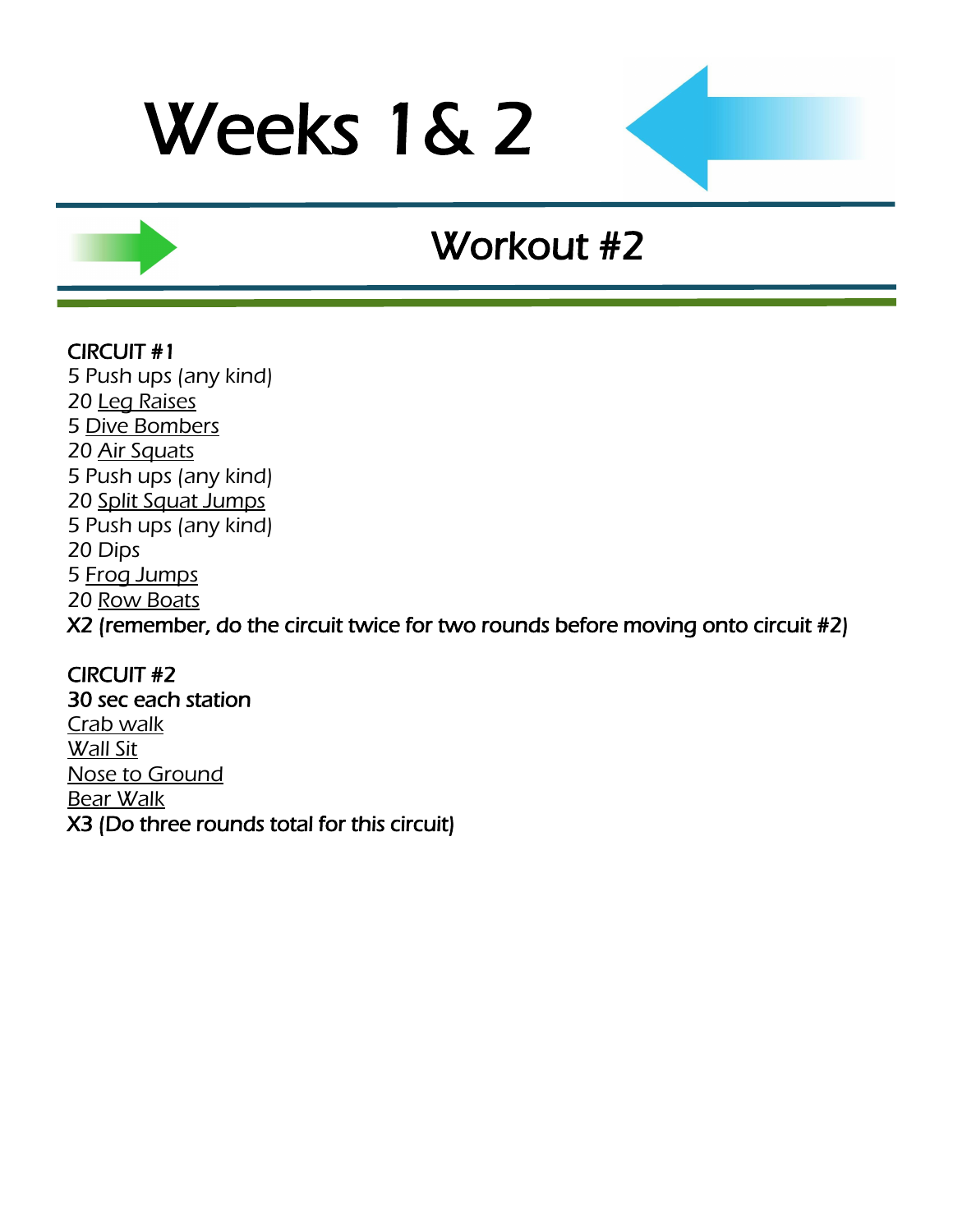### Workout #2

#### CIRCUIT #1

5 Push ups (any kind) 20 [Leg Raises](http://www.youtube.com/watch?v=gMo97vRBg5A) 5 [Dive Bombers](http://www.youtube.com/watch?v=66-v0AaANHk) 20 [Air Squats](http://www.youtube.com/watch?v=zf2SWnIQbwI&feature=player_embedded) 5 Push ups (any kind) 20 [Split Squat Jumps](http://www.youtube.com/watch?v=CK7xI0wa04g) 5 Push ups (any kind) 20 Dips 5 [Frog Jumps](http://www.youtube.com/watch?v=ot_to1gZwjI) 20 [Row Boats](http://www.youtube.com/watch?v=BoI8gn3YRcQ) X2 (remember, do the circuit twice for two rounds before moving onto circuit #2)

CIRCUIT #2 30 sec each station [Crab walk](http://www.youtube.com/watch?v=U7n_qKGtPZ4) [Wall Sit](http://www.youtube.com/watch?v=VjdtAT8H8LQ) [Nose to Ground](http://www.youtube.com/watch?v=Qjt1m6LHVxw) [Bear Walk](http://www.youtube.com/watch?v=-OKN0zDXC7k) X3 (Do three rounds total for this circuit)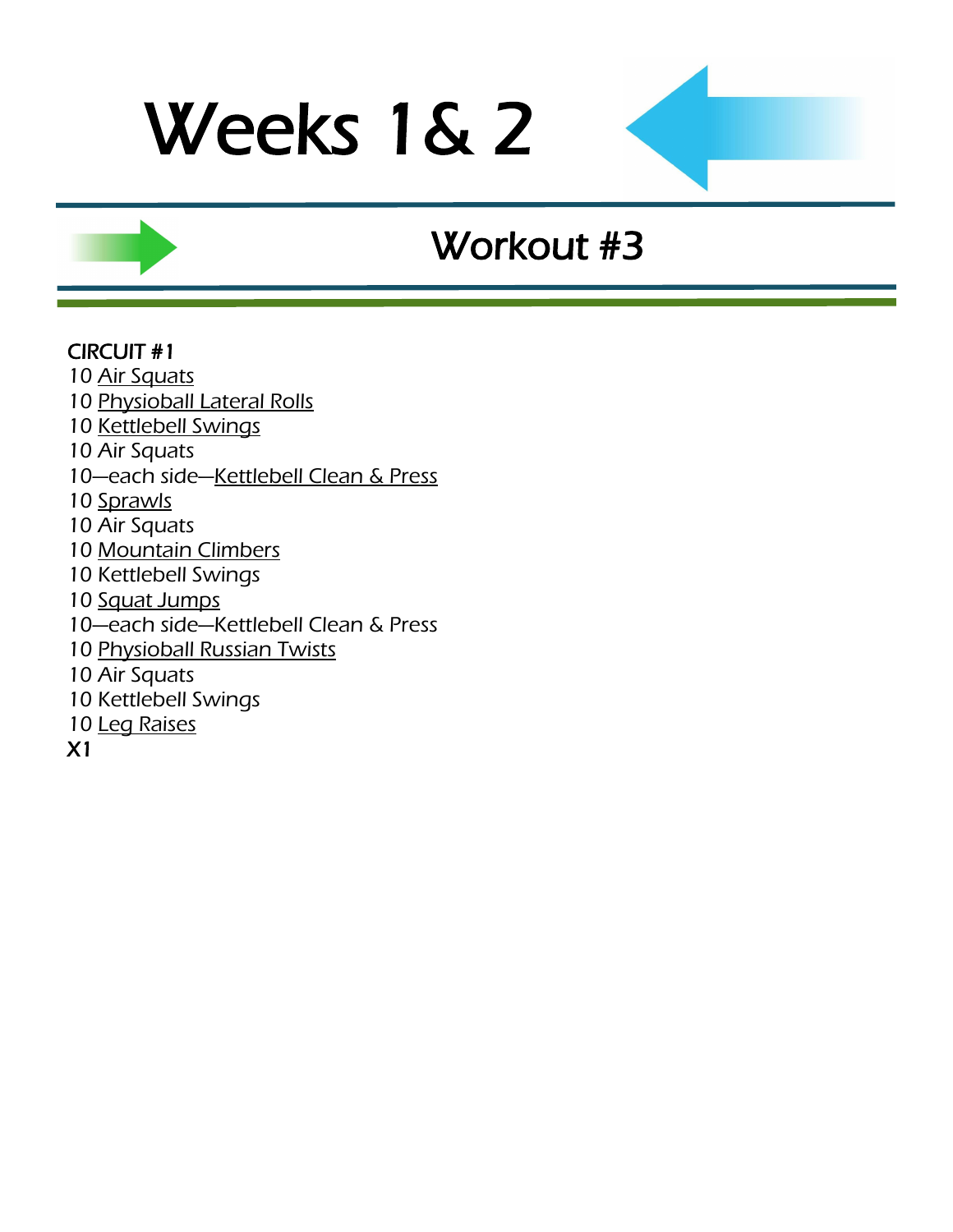## Workout #3

#### CIRCUIT #1

- 10 [Air Squats](http://www.youtube.com/watch?v=zf2SWnIQbwI&feature=player_embedded)
- 10 [Physioball Lateral Rolls](http://www.youtube.com/watch?v=ua9KYguBt8E)
- 10 [Kettlebell Swings](http://www.youtube.com/watch?v=Iqfec2HO6rc)
- 10 Air Squats
- 10-each side-[Kettlebell Clean & Press](http://www.youtube.com/watch?v=H7tzcQjde3g&feature=fvwrel)
- 10 [Sprawls](http://www.youtube.com/watch?v=y0CcmNMeJV0&feature=related)
- 10 Air Squats
- 10 [Mountain Climbers](http://www.youtube.com/watch?v=DHjdc2QVRUQ)
- 10 Kettlebell Swings
- 10 [Squat Jumps](http://www.youtube.com/watch?v=56vWSQaTbSo)
- 10—each side—Kettlebell Clean & Press
- 10 [Physioball Russian Twists](http://www.youtube.com/watch?v=8DdlxChLme4)
- 10 Air Squats
- 10 Kettlebell Swings
- 10 [Leg Raises](http://www.youtube.com/watch?v=gMo97vRBg5A)
- X1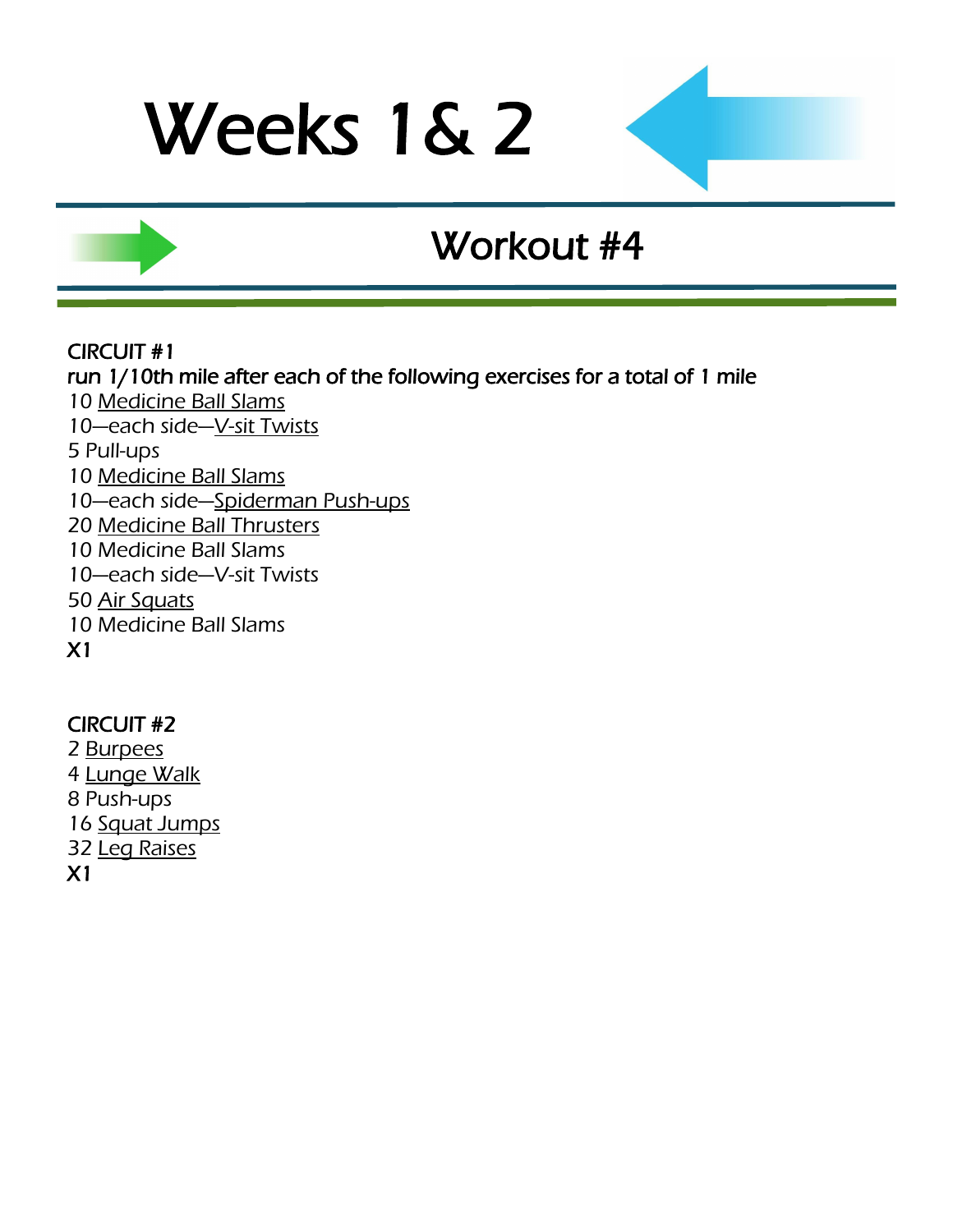### Workout #4

#### CIRCUIT #1

run 1/10th mile after each of the following exercises for a total of 1 mile 10 [Medicine Ball Slams](http://www.youtube.com/watch?v=12IUGflssEI) 10—each side—[V-sit Twists](http://www.youtube.com/watch?v=f7bu0Tb5hUw) 5 Pull-ups 10 [Medicine Ball Slams](http://www.youtube.com/watch?v=12IUGflssEI) 10—each side—[Spiderman Push-ups](http://www.youtube.com/watch?v=PmoinoBow1Q) 20 [Medicine Ball Thrusters](http://www.youtube.com/watch?v=9PmMKO9UCNI) 10 Medicine Ball Slams 10—each side—V-sit Twists 50 [Air Squats](http://www.youtube.com/watch?v=iOdwETDQXCw) 10 Medicine Ball Slams X1

#### CIRCUIT #2

2 [Burpees](http://www.youtube.com/watch?v=c_Dq_NCzj8M&feature=related) 4 [Lunge Walk](http://www.youtube.com/watch?v=fPCSGUhgxxk) 8 Push-ups 16 [Squat Jumps](http://www.youtube.com/watch?v=56vWSQaTbSo) 32 [Leg Raises](http://www.youtube.com/watch?v=gMo97vRBg5A) X1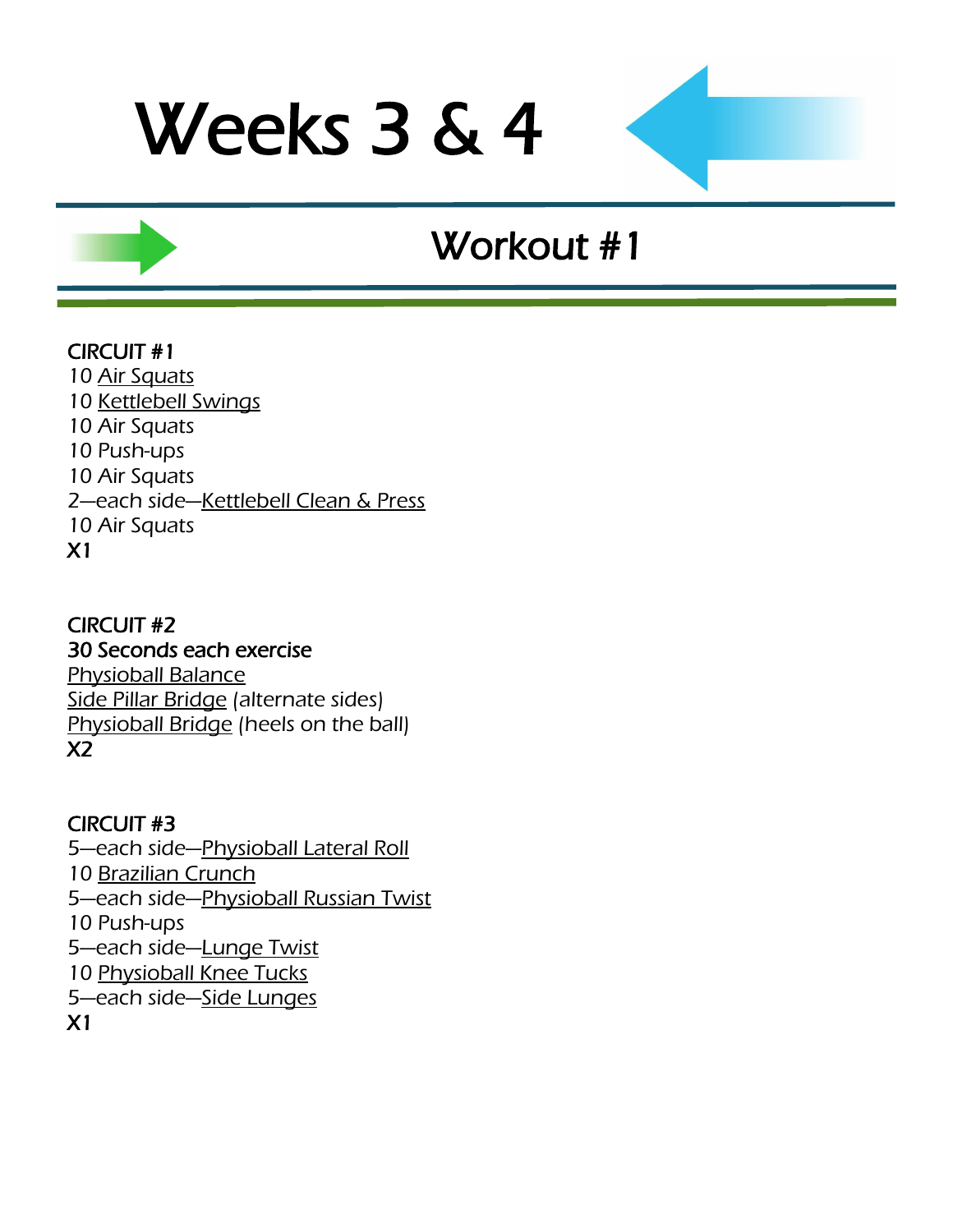### Workout #1

### CIRCUIT #1

10 [Air Squats](http://www.youtube.com/watch?v=zf2SWnIQbwI&feature=player_embedded) 10 [Kettlebell Swings](http://www.youtube.com/watch?v=Iqfec2HO6rc) 10 Air Squats 10 Push-ups 10 Air Squats 2—each side—[Kettlebell Clean & Press](http://www.youtube.com/watch?v=H7tzcQjde3g&feature=fvwrel) 10 Air Squats X1

### CIRCUIT #2 30 Seconds each exercise [Physioball Balance](http://www.youtube.com/watch?v=VTumhqtrDMY)

[Side Pillar Bridge](http://www.youtube.com/watch?v=_6vjo5yFo1U) (alternate sides) [Physioball Bridge](http://www.youtube.com/watch?v=GTsmpxag4GM) (heels on the ball) X2

### CIRCUIT #3

—each side—[Physioball Lateral Roll](http://www.youtube.com/watch?v=ua9KYguBt8E) [Brazilian Crunch](http://www.youtube.com/watch?v=r6J94se3Bs4) —each side—[Physioball Russian Twist](http://www.youtube.com/watch?v=8DdlxChLme4) 10 Push-ups —each side—[Lunge Twist](http://www.youtube.com/watch?v=H0HLl6DnQ90) [Physioball Knee Tucks](http://www.youtube.com/watch?v=hr3yEf6d1Yc) —each side—[Side Lunges](http://www.youtube.com/watch?v=TzhEkzoTcZ4) X1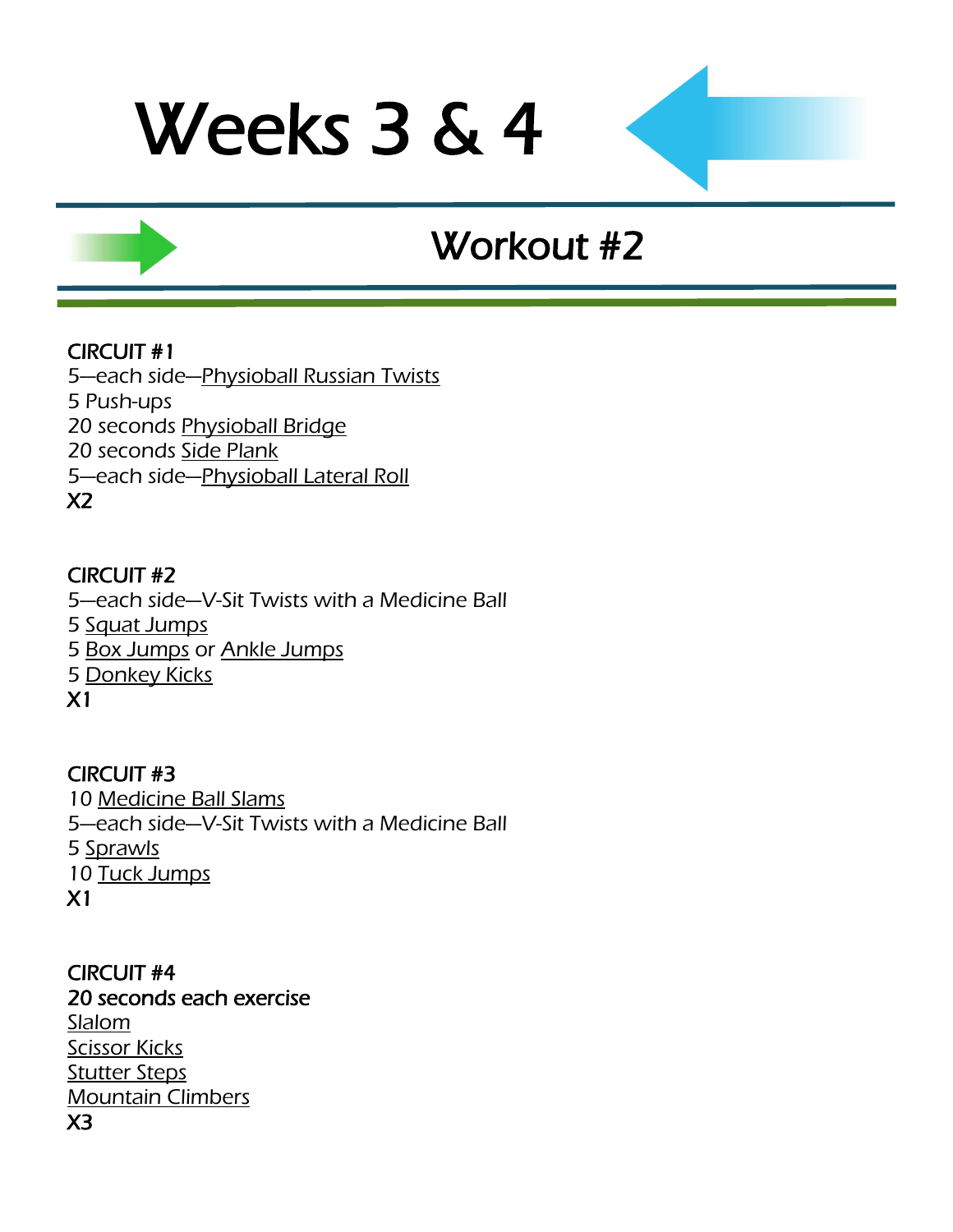## Workout #2

### CIRCUIT #1

5—each side—[Physioball Russian Twists](http://www.youtube.com/watch?v=8DdlxChLme4) 5 Push-ups 20 seconds [Physioball Bridge](http://www.youtube.com/watch?v=GTsmpxag4GM) 20 seconds [Side Plank](http://www.youtube.com/watch?v=_6vjo5yFo1U) 5—each side—[Physioball Lateral Roll](http://www.youtube.com/watch?v=ua9KYguBt8E) X2

#### CIRCUIT #2

—each side—[V-Sit Twists with a Medicine Ball](http://www.youtube.com/watch?v=7BuM70UQWl8) [Squat Jumps](http://www.youtube.com/watch?v=56vWSQaTbSo) [Box Jumps](http://www.youtube.com/watch?v=UweKybOuivA) or [Ankle Jumps](http://www.youtube.com/watch?v=Yrbq2ytO78s) [Donkey Kicks](http://www.youtube.com/watch?v=ElXtaOqr7Ak) X1

CIRCUIT #3 10 [Medicine Ball Slams](http://www.youtube.com/watch?v=12IUGflssEI) 5—each side—[V-Sit Twists with a Medicine Ball](http://www.youtube.com/watch?v=-wRVhervOq4) 5 [Sprawls](http://www.youtube.com/watch?v=y0CcmNMeJV0&feature=related) 10 [Tuck Jumps](http://www.youtube.com/watch?v=JlI_oY2Qmro&feature=related) X1

CIRCUIT #4 20 seconds each exercise [Slalom](http://www.youtube.com/watch?v=WfrB6n3la0Q) **[Scissor Kicks](http://www.youtube.com/watch?v=XyLTb8ZTh48)** [Stutter Steps](http://www.youtube.com/watch?v=Zx-mRiCVbOw) [Mountain Climbers](http://www.youtube.com/watch?v=DHjdc2QVRUQ) X3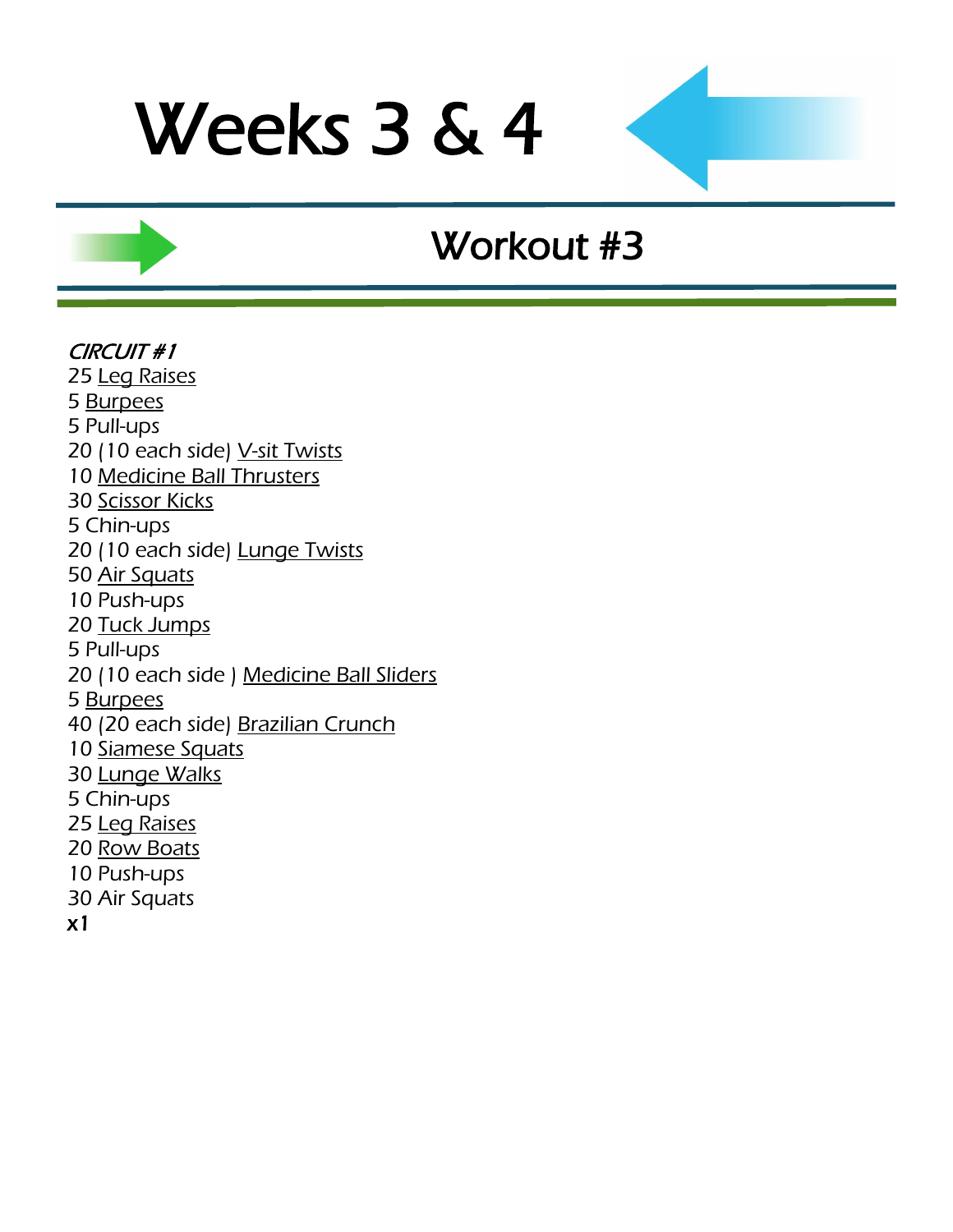### Workout #3

#### CIRCUIT #1 25 [Leg Raises](http://www.youtube.com/watch?v=gMo97vRBg5A) 5 [Burpees](http://www.youtube.com/watch?v=c_Dq_NCzj8M&feature=related) 5 Pull-ups 20 (10 each side) [V-sit Twists](http://www.youtube.com/watch?v=f7bu0Tb5hUw) 10 [Medicine Ball Thrusters](http://www.youtube.com/watch?v=9PmMKO9UCNI) 30 [Scissor Kicks](http://www.youtube.com/watch?v=XyLTb8ZTh48) 5 Chin-ups 20 (10 each side) [Lunge Twists](http://www.youtube.com/watch?v=H0HLl6DnQ90) 50 [Air Squats](http://www.youtube.com/watch?v=iOdwETDQXCw) 10 Push-ups 20 [Tuck Jumps](http://www.youtube.com/watch?v=JlI_oY2Qmro&feature=related) 5 Pull-ups 20 (10 each side ) [Medicine Ball Sliders](http://www.youtube.com/watch?v=CCH0lPn9gP0) 5 [Burpees](http://www.youtube.com/watch?v=c_Dq_NCzj8M&feature=related) 40 (20 each side) [Brazilian Crunch](http://www.youtube.com/watch?v=r6J94se3Bs4) 10 [Siamese Squats](http://www.youtube.com/watch?v=o3nHRWuxTf0) 30 [Lunge Walks](http://www.youtube.com/watch?v=fPCSGUhgxxk) 5 Chin-ups 25 [Leg Raises](http://www.youtube.com/watch?v=gMo97vRBg5A) 20 [Row Boats](http://www.youtube.com/watch?v=BoI8gn3YRcQ) 10 Push-ups 30 Air Squats x1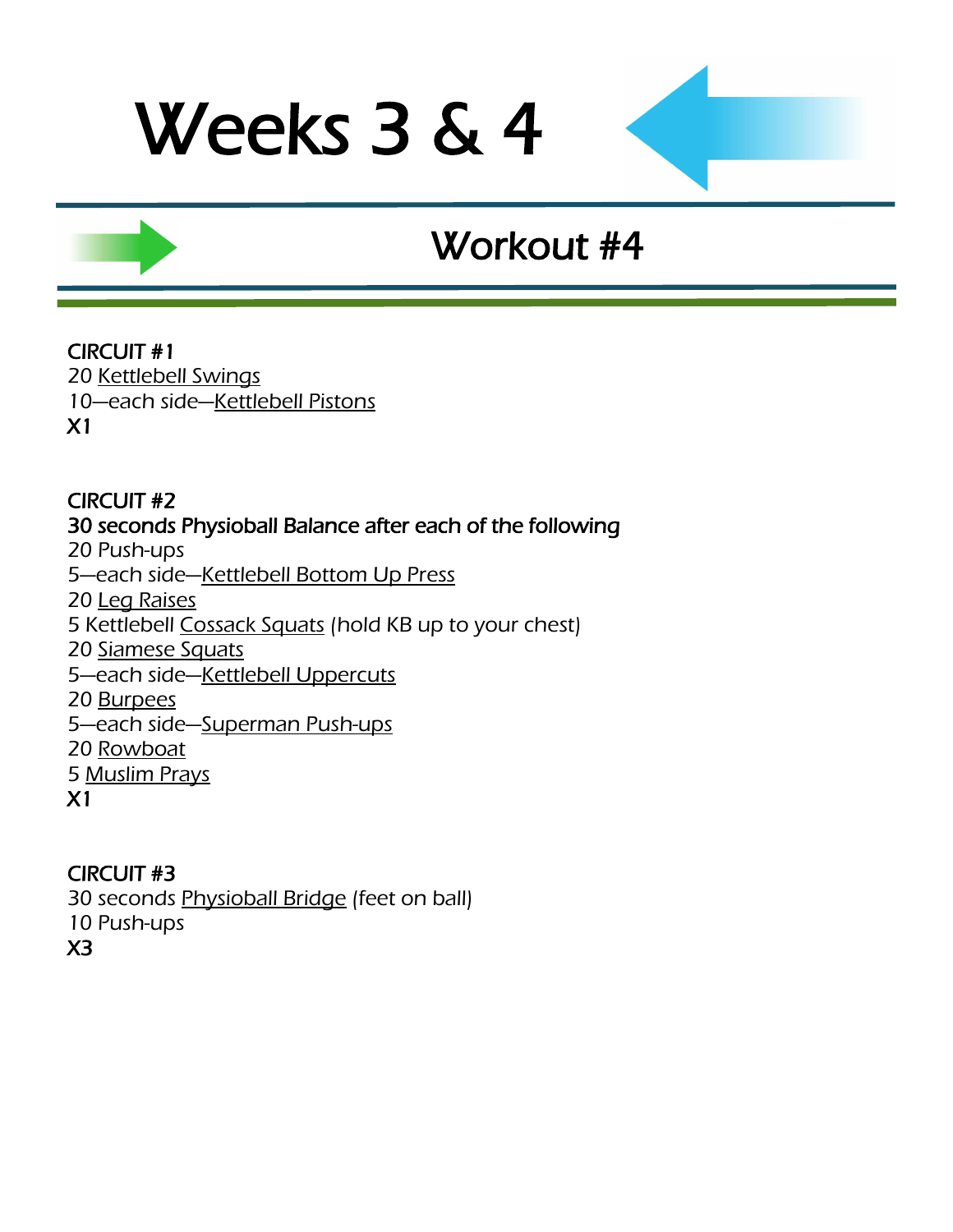## Workout #4

### CIRCUIT #1

20 [Kettlebell Swings](http://www.youtube.com/watch?v=Iqfec2HO6rc) 10—each side—[Kettlebell Pistons](http://www.youtube.com/watch?v=mSS27ETlnh8) X1

#### CIRCUIT #2 30 seconds Physioball Balance after each of the following 20 Push-ups 5—each side—[Kettlebell Bottom Up Press](http://www.youtube.com/watch?v=ypgQlBfSrpk) 20 [Leg Raises](http://www.youtube.com/watch?v=gMo97vRBg5A) 5 Kettlebell [Cossack Squats](http://www.youtube.com/watch?v=cuB056L2Fas) (hold KB up to your chest) 20 [Siamese Squats](http://www.youtube.com/watch?v=o3nHRWuxTf0) 5—each side—[Kettlebell Uppercuts](http://www.youtube.com/watch?v=ULPkdOc0jHM) 20 [Burpees](http://www.youtube.com/watch?v=c_Dq_NCzj8M&feature=related) 5—each side—[Superman Push-ups](http://www.youtube.com/watch?feature=player_embedded&v=fFm5phmWZvo) 20 [Rowboat](http://www.youtube.com/watch?v=BoI8gn3YRcQ) 5 [Muslim Prays](http://www.youtube.com/watch?v=8PhRjhCtu3U) X1

#### CIRCUIT #3

30 seconds [Physioball Bridge](http://www.youtube.com/watch?v=GTsmpxag4GM) (feet on ball)

- 10 Push-ups
- X3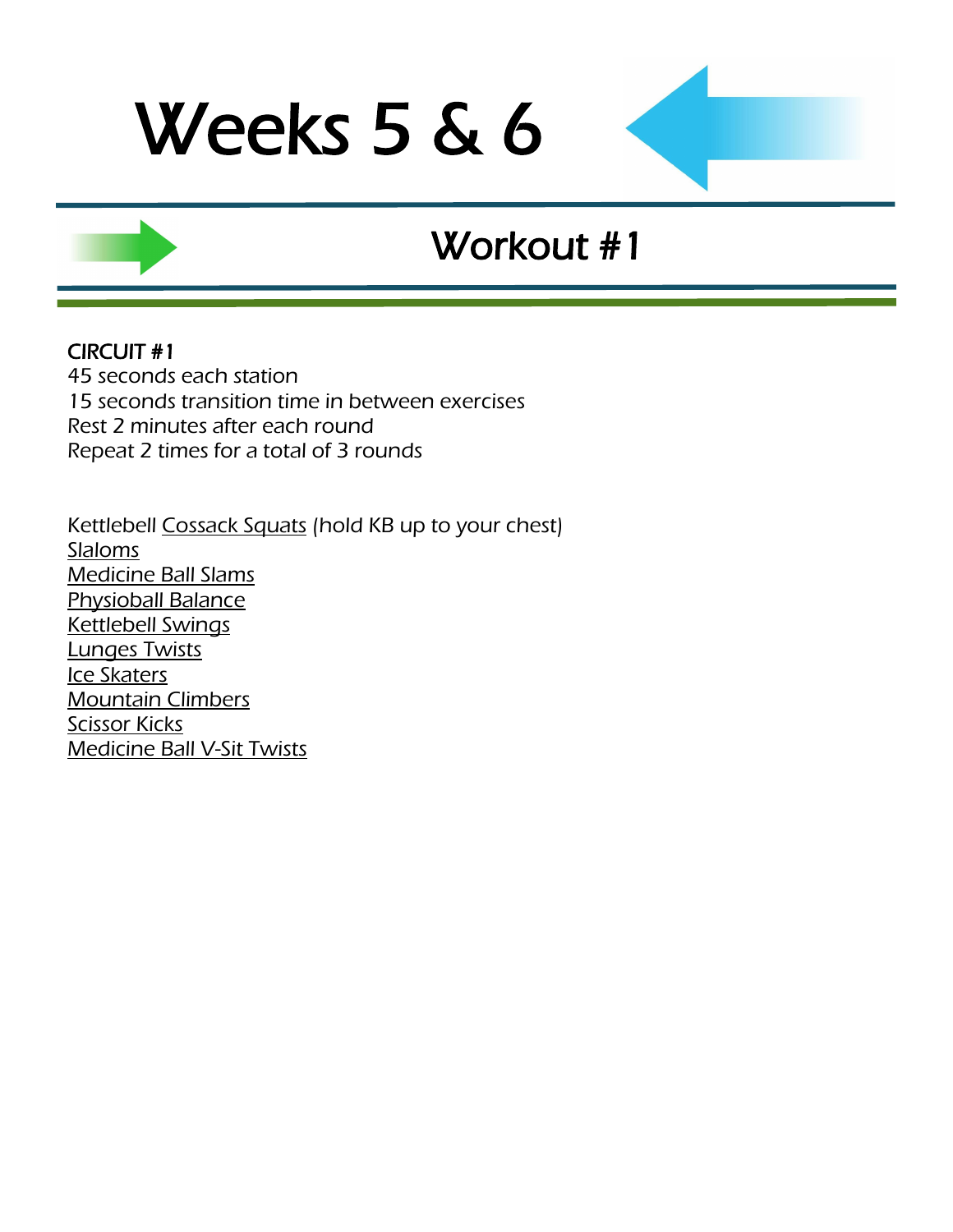## Workout #1

#### CIRCUIT #1

45 seconds each station 15 seconds transition time in between exercises Rest 2 minutes after each round Repeat 2 times for a total of 3 rounds

Kettlebell [Cossack Squats](http://www.youtube.com/watch?v=cuB056L2Fas) (hold KB up to your chest) **[Slaloms](http://www.youtube.com/watch?v=WfrB6n3la0Q)** [Medicine Ball Slams](http://www.youtube.com/watch?v=12IUGflssEI) [Physioball Balance](http://www.youtube.com/watch?v=VTumhqtrDMY) [Kettlebell Swings](http://www.youtube.com/watch?v=Iqfec2HO6rc) [Lunges Twists](http://www.youtube.com/watch?v=H0HLl6DnQ90) [Ice Skaters](http://www.youtube.com/watch?v=NdVRPwPrWOM&feature=PlayList&p=68EAD6311C5A9513&playnext_from=PL&index=41&playnext=2) **[Mountain Climbers](http://www.youtube.com/watch?v=DHjdc2QVRUQ) [Scissor Kicks](http://www.youtube.com/watch?v=XyLTb8ZTh48)** [Medicine Ball V-Sit Twists](http://www.youtube.com/watch?v=JHgeOdp-COA)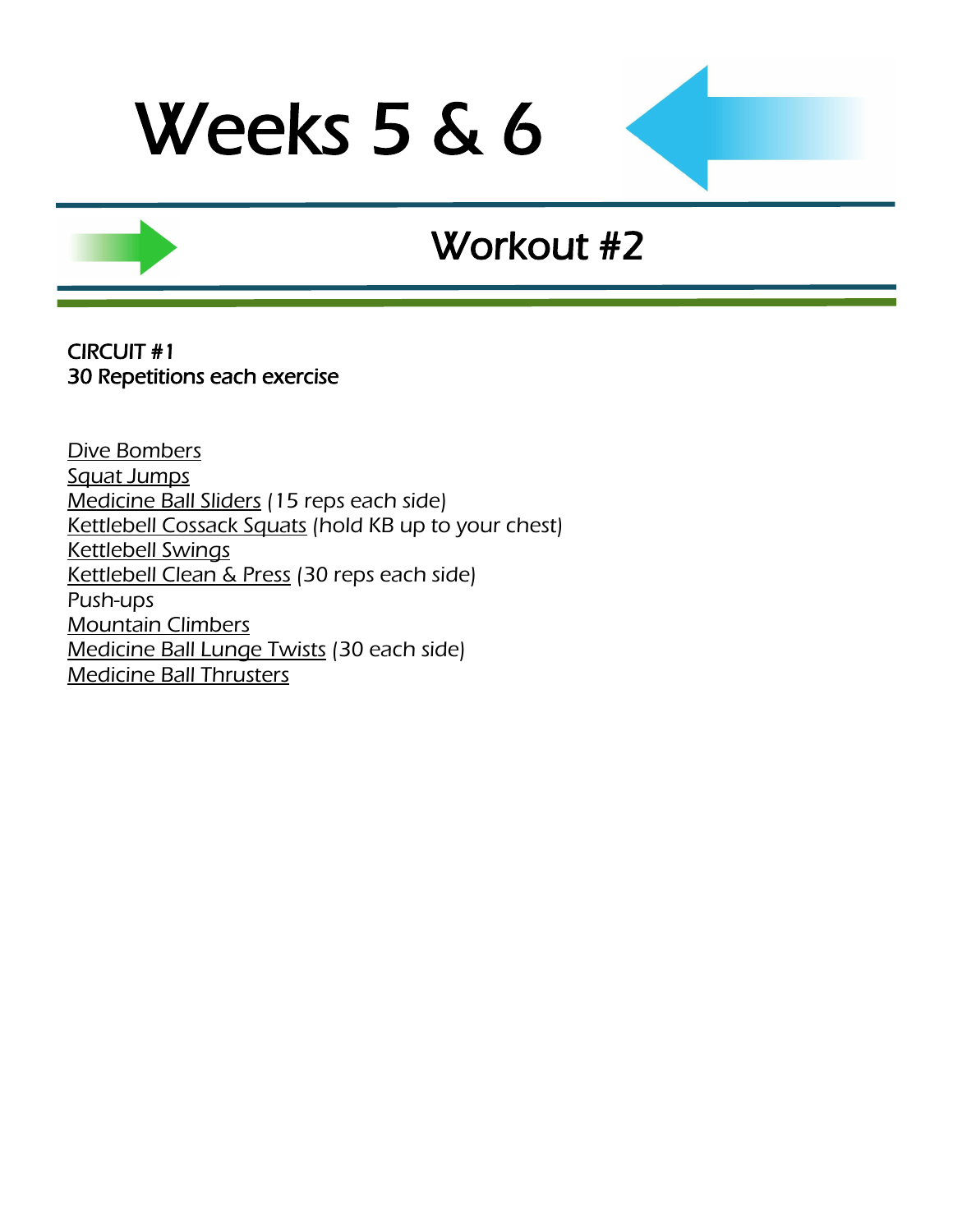### Workout #2

CIRCUIT #1 30 Repetitions each exercise

[Dive Bombers](http://www.youtube.com/watch?v=66-v0AaANHk) [Squat Jumps](http://www.youtube.com/watch?v=56vWSQaTbSo) [Medicine Ball Sliders](http://www.youtube.com/watch?v=CCH0lPn9gP0) (15 reps each side) [Kettlebell Cossack Squats](http://www.youtube.com/watch?v=cuB056L2Fas) (hold KB up to your chest) [Kettlebell Swings](http://www.youtube.com/watch?v=Iqfec2HO6rc) [Kettlebell Clean & Press](http://www.youtube.com/watch?v=H7tzcQjde3g&feature=fvwrel) (30 reps each side) Push-ups [Mountain Climbers](http://www.youtube.com/watch?v=DHjdc2QVRUQ) [Medicine Ball Lunge Twists](http://www.youtube.com/watch?v=H0HLl6DnQ90) (30 each side) [Medicine Ball Thrusters](http://www.youtube.com/watch?v=9PmMKO9UCNI)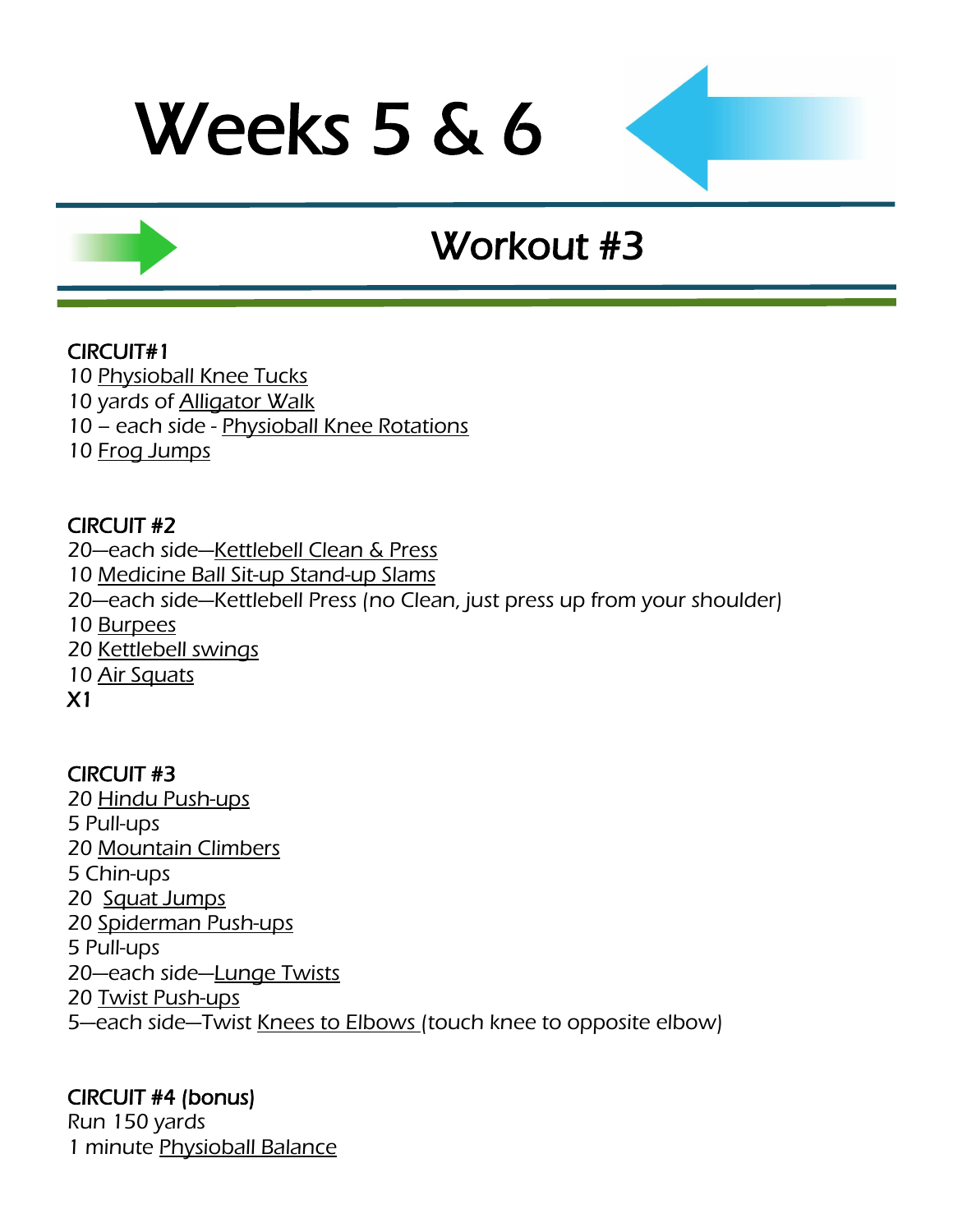## Workout #3

#### CIRCUIT#1

10 [Physioball Knee Tucks](http://www.youtube.com/watch?v=hr3yEf6d1Yc)

- 10 yards of **Alligator Walk**
- 10 each side [Physioball Knee Rotations](http://www.youtube.com/watch?v=vfqkPjGLhmc)
- 10 [Frog Jumps](http://www.youtube.com/watch?v=ot_to1gZwjI)

### CIRCUIT #2

—each side—[Kettlebell Clean & Press](http://www.youtube.com/watch?v=H7tzcQjde3g&feature=fvwrel) [Medicine Ball Sit-up Stand-up Slams](http://www.youtube.com/watch?v=tuNLQyVAclI) —each side—Kettlebell Press (no Clean, just press up from your shoulder) 10 [Burpees](http://www.youtube.com/watch?v=c_Dq_NCzj8M&feature=related) [Kettlebell swings](http://www.youtube.com/watch?v=Iqfec2HO6rc) [Air Squats](http://www.youtube.com/watch?v=zf2SWnIQbwI&feature=player_embedded)

X1

### CIRCUIT #3

20 [Hindu Push-ups](http://www.youtube.com/watch?v=9ndOPrcoUt8) 5 Pull-ups 20 [Mountain Climbers](http://www.youtube.com/watch?v=DHjdc2QVRUQ) 5 Chin-ups 20 [Squat Jumps](http://www.youtube.com/watch?v=MJ6KJintn70) 20 [Spiderman Push-ups](http://www.youtube.com/watch?v=PmoinoBow1Q) 5 Pull-ups 20—each side—[Lunge Twists](http://www.youtube.com/watch?v=H0HLl6DnQ90) 20 [Twist Push-ups](http://www.youtube.com/watch?v=b27ZGq3Wxo4) 5-each side-Twist [Knees to Elbows \(t](http://www.surfbodyfitness.com/crossfitknees2elbows)ouch knee to opposite elbow)

### CIRCUIT #4 (bonus)

Run 150 yards 1 minute [Physioball Balance](http://www.youtube.com/watch?v=VTumhqtrDMY)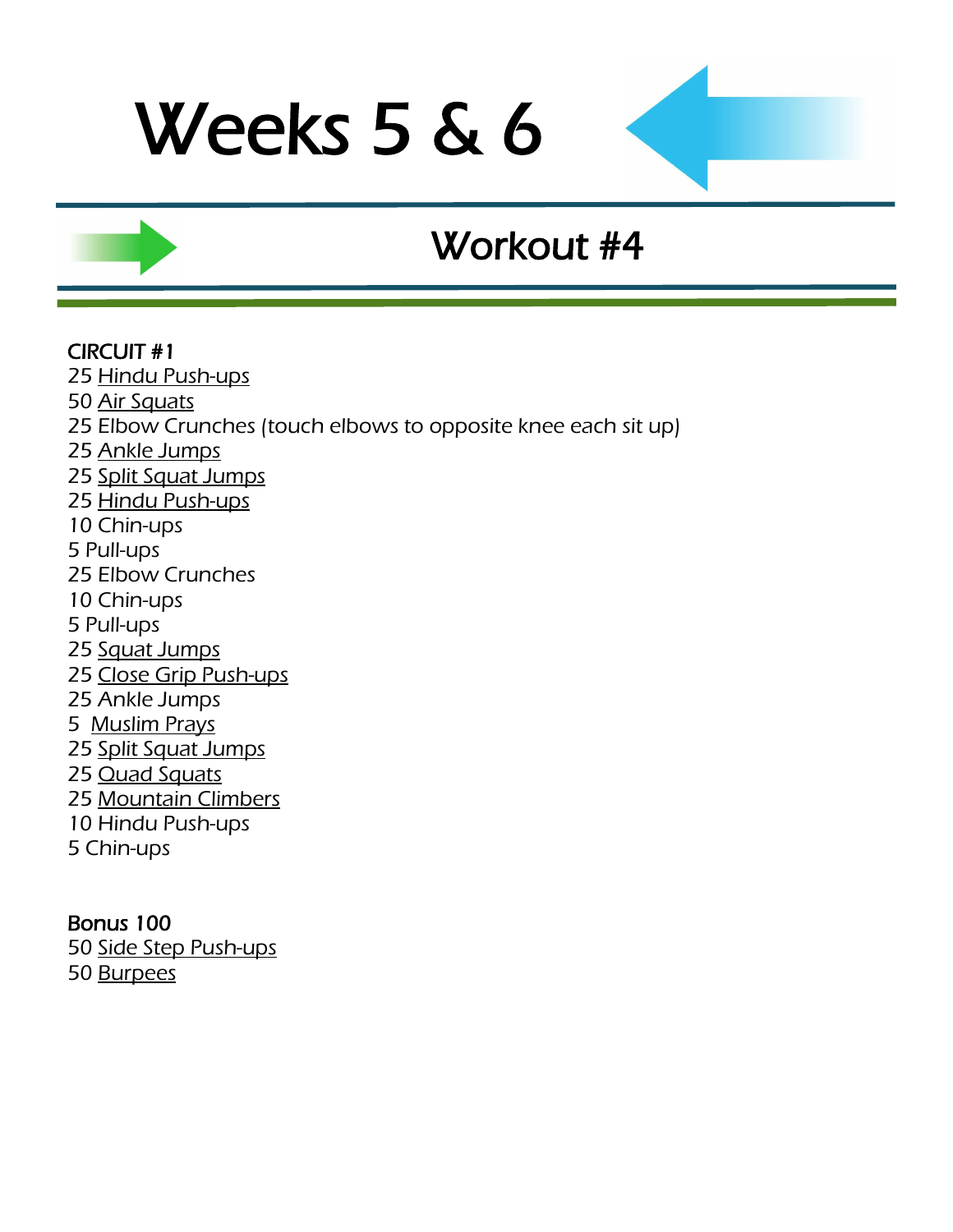## Workout #4

#### CIRCUIT #1

25 [Hindu Push-ups](http://www.youtube.com/watch?v=9ndOPrcoUt8)

- 50 [Air Squats](http://www.youtube.com/watch?v=zf2SWnIQbwI&feature=player_embedded)
- 25 Elbow Crunches (touch elbows to opposite knee each sit up)
- 25 [Ankle Jumps](http://www.youtube.com/watch?v=Yrbq2ytO78s)
- 25 [Split Squat Jumps](http://www.youtube.com/watch?v=CK7xI0wa04g)
- 25 [Hindu Push-ups](http://www.youtube.com/watch?v=9ndOPrcoUt8)
- 10 Chin-ups
- 5 Pull-ups
- 25 Elbow Crunches
- 10 Chin-ups
- 5 Pull-ups
- 25 [Squat Jumps](http://www.youtube.com/watch?v=56vWSQaTbSo)
- 25 [Close Grip Push-ups](http://www.youtube.com/watch?feature=player_embedded&v=fFm5phmWZvo)
- 25 Ankle Jumps
- 5 [Muslim Prays](http://www.youtube.com/watch?v=8PhRjhCtu3U)
- 25 [Split Squat Jumps](http://www.youtube.com/watch?v=CK7xI0wa04g)
- 25 **[Quad Squats](http://www.youtube.com/watch?v=5Q5v3WaT-yY)**
- 25 [Mountain Climbers](http://www.youtube.com/watch?v=DHjdc2QVRUQ)
- 10 Hindu Push-ups
- 5 Chin-ups

### Bonus 100

50 [Side Step Push-ups](http://www.youtube.com/watch?v=wb_JckVmoi8) 50 [Burpees](http://www.youtube.com/watch?v=c_Dq_NCzj8M&feature=related)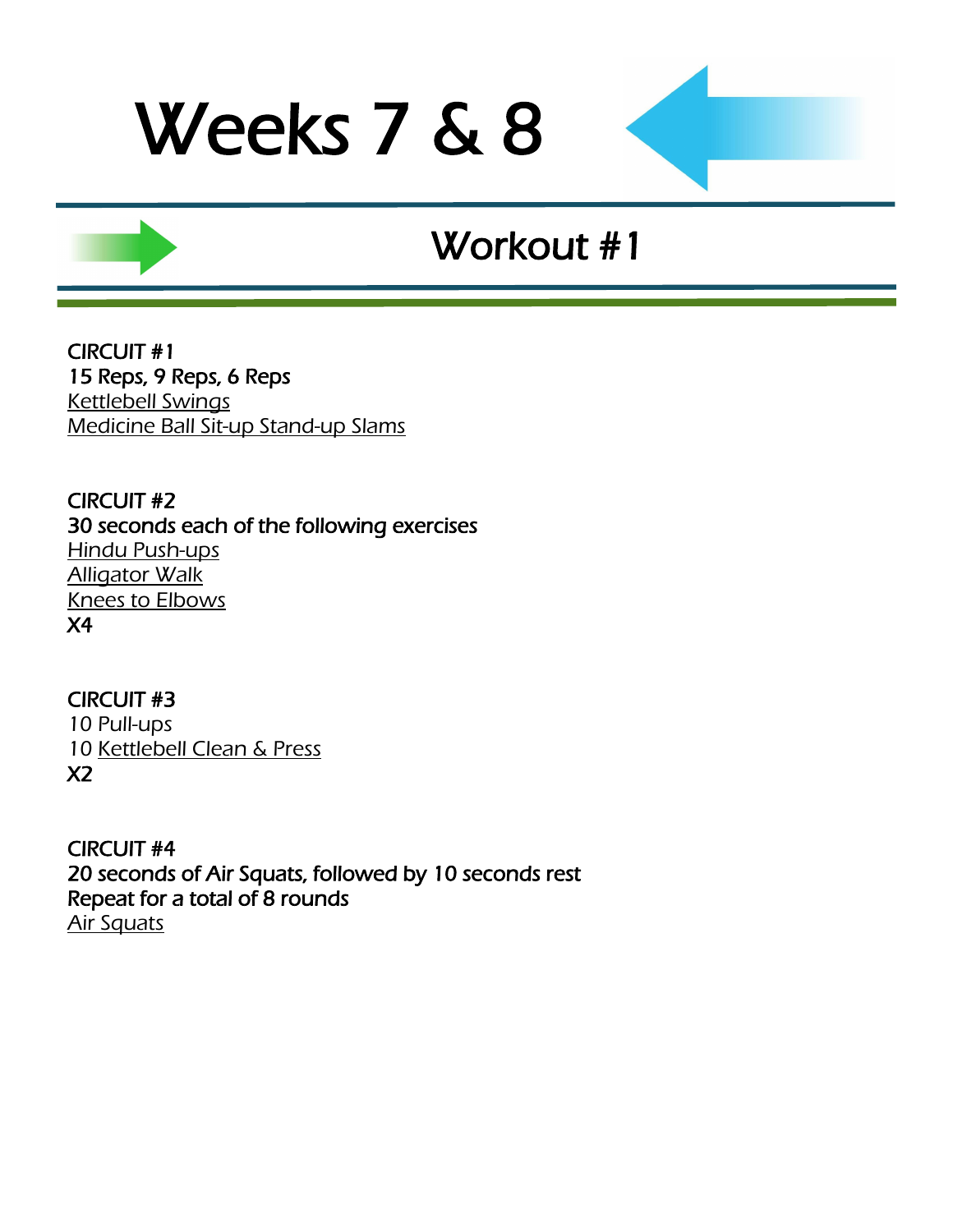### Workout #1

CIRCUIT #1 15 Reps, 9 Reps, 6 Reps [Kettlebell Swings](http://www.youtube.com/watch?v=Iqfec2HO6rc) [Medicine Ball Sit-up Stand-up Slams](http://www.youtube.com/watch?v=tuNLQyVAclI)

CIRCUIT #2 30 seconds each of the following exercises [Hindu Push-ups](http://www.youtube.com/watch?v=9ndOPrcoUt8) [Alligator Walk](http://www.youtube.com/watch?v=NngcUQVO8ME) [Knees to Elbows](http://www.surfbodyfitness.com/crossfitknees2elbows) X4

CIRCUIT #3 10 Pull-ups 10 [Kettlebell Clean & Press](http://www.youtube.com/watch?v=H7tzcQjde3g&feature=fvwrel) X2

CIRCUIT #4 20 seconds of Air Squats, followed by 10 seconds rest Repeat for a total of 8 rounds [Air Squats](http://www.youtube.com/watch?v=zf2SWnIQbwI&feature=player_embedded)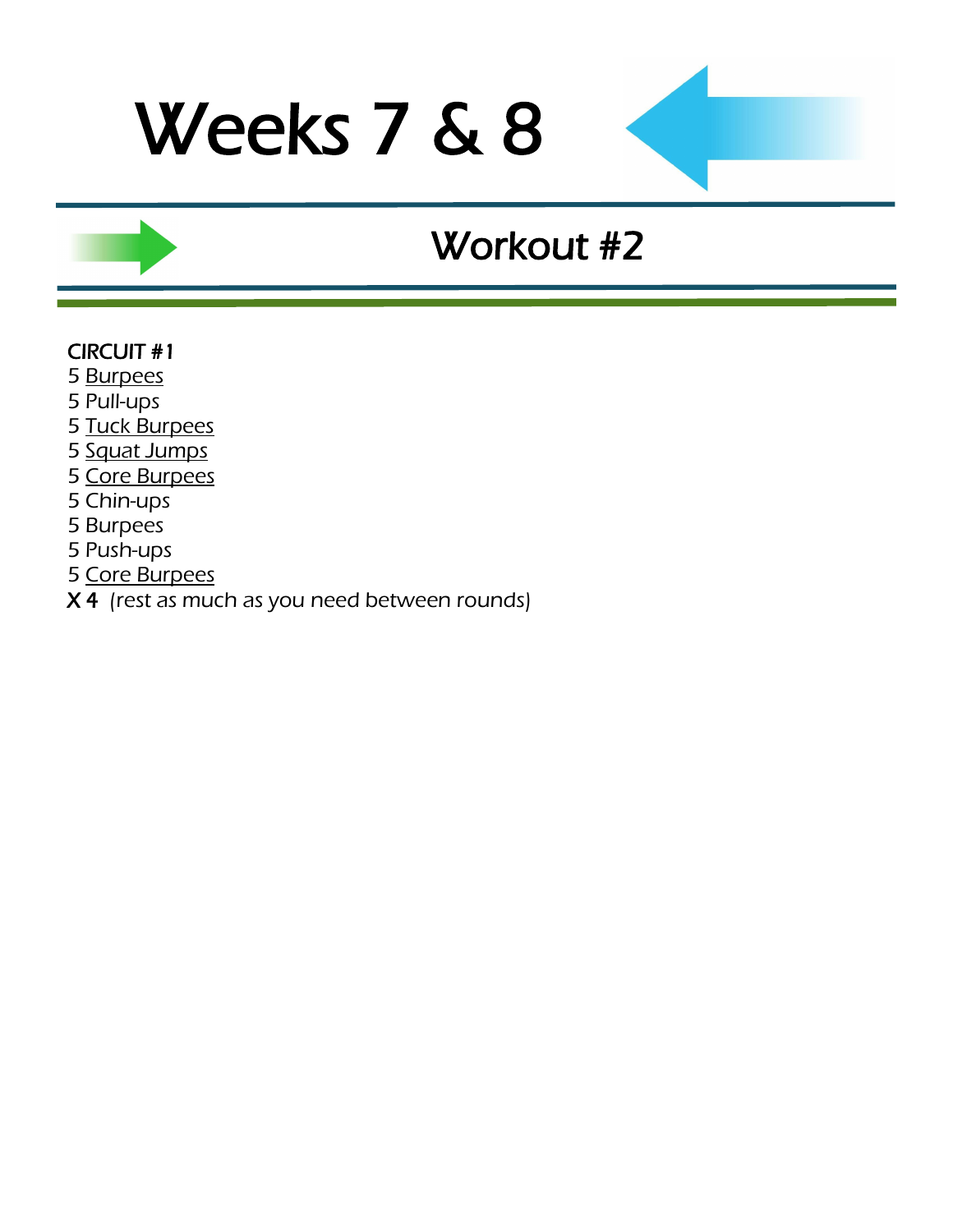### Workout #2

#### CIRCUIT #1

- 5 [Burpees](http://www.youtube.com/watch?v=c_Dq_NCzj8M&feature=related)
- 5 Pull-ups
- 5 [Tuck Burpees](http://www.youtube.com/watch?v=_Xh_oPFG02M)
- 5 [Squat Jumps](http://www.youtube.com/watch?v=56vWSQaTbSo)
- 5 [Core Burpees](http://www.youtube.com/watch?v=AzWzW1kfgws)
- 5 Chin-ups
- 5 Burpees
- 5 Push-ups
- 5 [Core Burpees](http://www.youtube.com/watch?v=AzWzW1kfgws)
- $\overline{X4}$  (rest as much as you need between rounds)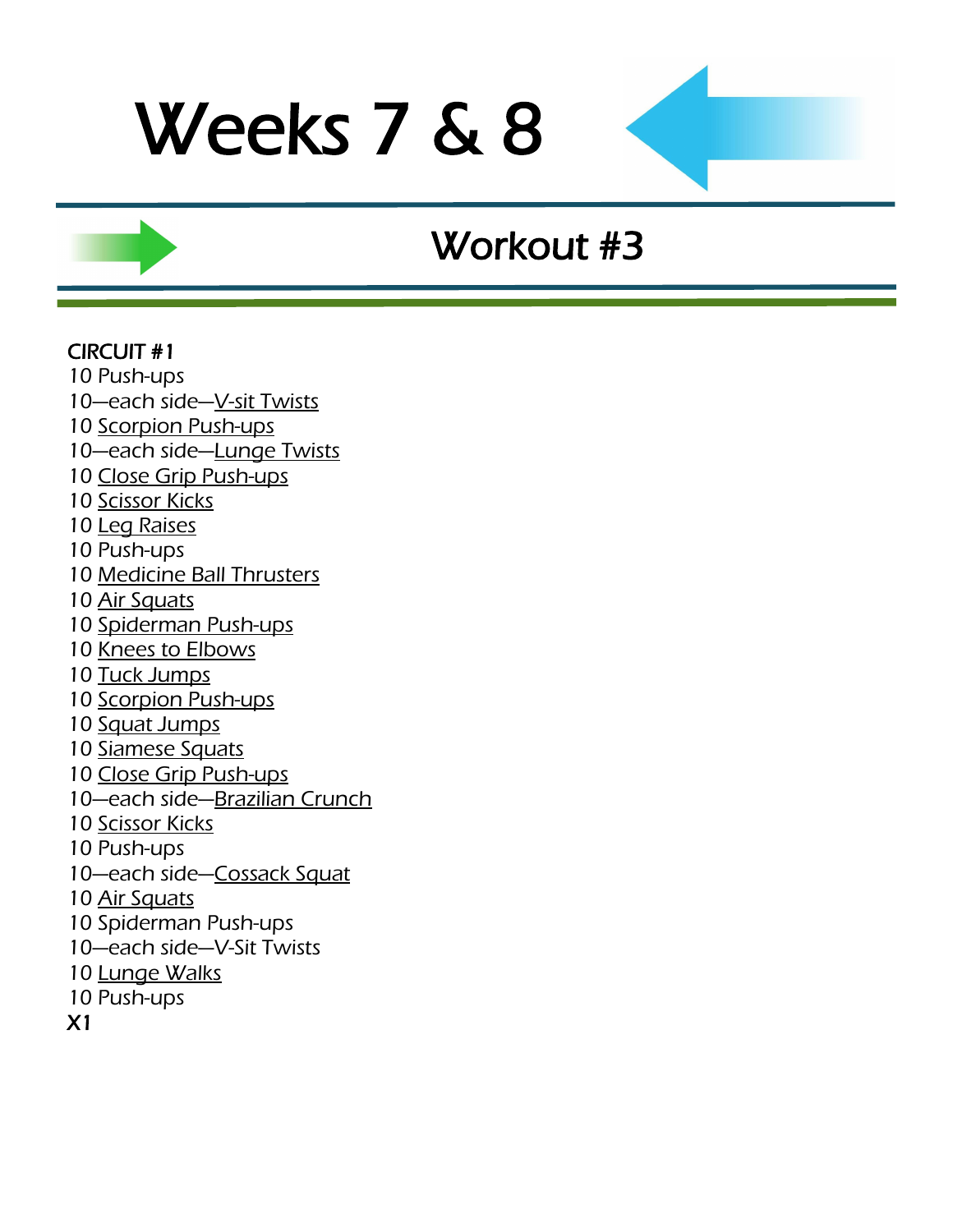### Workout #3

#### CIRCUIT #1

- 10 Push-ups
- 10-each side-[V-sit Twists](http://www.youtube.com/watch?v=f7bu0Tb5hUw)
- 10 [Scorpion Push-ups](http://www.youtube.com/watch?v=C7s158CTJgs)
- 10-each side-[Lunge Twists](http://www.youtube.com/watch?v=H0HLl6DnQ90)
- 10 [Close Grip Push-ups](http://www.youtube.com/watch?v=CWkkn0uo-P4)
- 10 [Scissor Kicks](http://www.youtube.com/watch?v=XyLTb8ZTh48)
- 10 [Leg Raises](http://www.youtube.com/watch?v=gMo97vRBg5A)
- 10 Push-ups
- 10 [Medicine Ball Thrusters](http://www.youtube.com/watch?v=9PmMKO9UCNI)
- 10 [Air Squats](http://www.youtube.com/watch?v=iOdwETDQXCw)
- 10 [Spiderman Push-ups](http://www.youtube.com/watch?v=PmoinoBow1Q)
- 10 [Knees to Elbows](http://www.surfbodyfitness.com/crossfitknees2elbows)
- 10 [Tuck Jumps](http://www.youtube.com/watch?v=JlI_oY2Qmro&feature=related)
- 10 [Scorpion Push-ups](http://www.youtube.com/watch?v=C7s158CTJgs)
- 10 [Squat Jumps](http://www.youtube.com/watch?v=56vWSQaTbSo)
- 10 [Siamese Squats](http://www.youtube.com/watch?v=o3nHRWuxTf0)
- 10 [Close Grip Push-ups](http://www.youtube.com/watch?feature=player_embedded&v=fFm5phmWZvo)
- 10—each side—[Brazilian Crunch](http://www.youtube.com/watch?v=r6J94se3Bs4)
- 10 [Scissor Kicks](http://www.youtube.com/watch?v=XyLTb8ZTh48)
- 10 Push-ups
- 10-each side-[Cossack Squat](http://www.youtube.com/watch?v=cuB056L2Fas)
- 10 [Air Squats](http://www.youtube.com/watch?v=zf2SWnIQbwI&feature=player_embedded)
- 10 Spiderman Push-ups
- 10—each side—V-Sit Twists
- 10 [Lunge Walks](http://www.youtube.com/watch?v=fPCSGUhgxxk)
- 10 Push-ups
- X1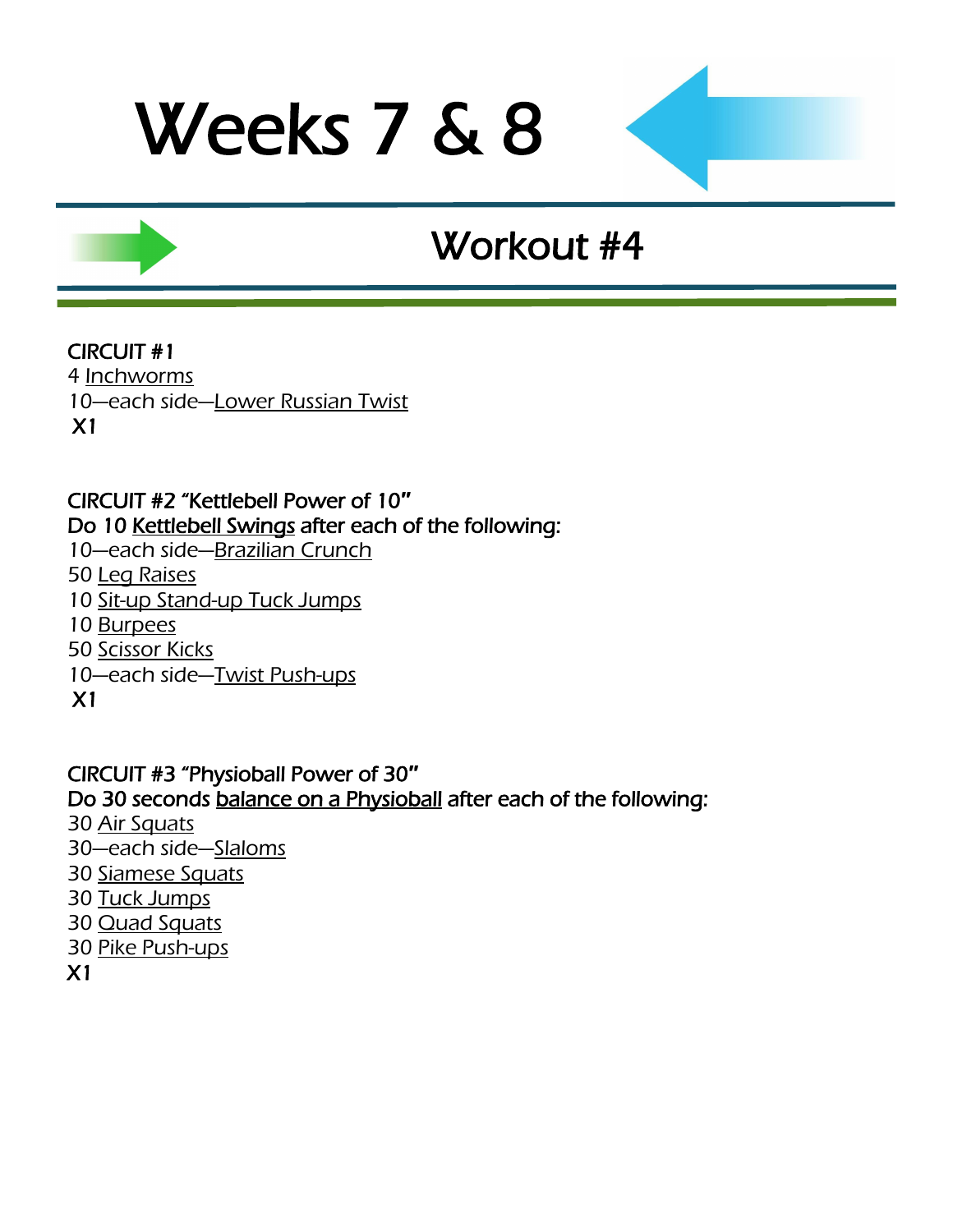### Workout #4

### CIRCUIT #1

4 [Inchworms](http://www.youtube.com/watch?v=X68AJbL8oMM) 10-each side-[Lower Russian Twist](http://www.youtube.com/watch?v=O17SknFEbho) X1

### CIRCUIT #2 "Kettlebell Power of 10**″** Do 10 [Kettlebell Swings](http://www.youtube.com/watch?v=Iqfec2HO6rc) after each of the following:

- 10—each side—[Brazilian Crunch](http://www.youtube.com/watch?v=r6J94se3Bs4)
- 50 [Leg Raises](http://www.youtube.com/watch?v=gMo97vRBg5A)
- 10 [Sit-up Stand-up Tuck Jumps](http://www.youtube.com/watch?v=Lty7S7MmYdQ)
- 10 [Burpees](http://www.youtube.com/watch?v=c_Dq_NCzj8M&feature=related)
- 50 [Scissor Kicks](http://www.youtube.com/watch?v=XyLTb8ZTh48)
- 10—each side—[Twist Push-ups](http://www.youtube.com/watch?v=b27ZGq3Wxo4)
- X1

#### CIRCUIT #3 "Physioball Power of 30**″** Do 30 seconds [balance on a Physioball a](http://www.youtube.com/watch?v=VTumhqtrDMY)fter each of the following: 30 [Air Squats](http://www.youtube.com/watch?v=zf2SWnIQbwI&feature=player_embedded) 30—each side—[Slaloms](http://www.youtube.com/watch?v=WfrB6n3la0Q)

- 
- 30 [Siamese Squats](http://www.youtube.com/watch?v=o3nHRWuxTf0)
- 30 [Tuck Jumps](http://www.youtube.com/watch?v=JlI_oY2Qmro&feature=related)
- 30 [Quad Squats](http://www.youtube.com/watch?v=5Q5v3WaT-yY)
- 30 [Pike Push-ups](http://www.youtube.com/watch?v=EA8g7q9jauM)
- X1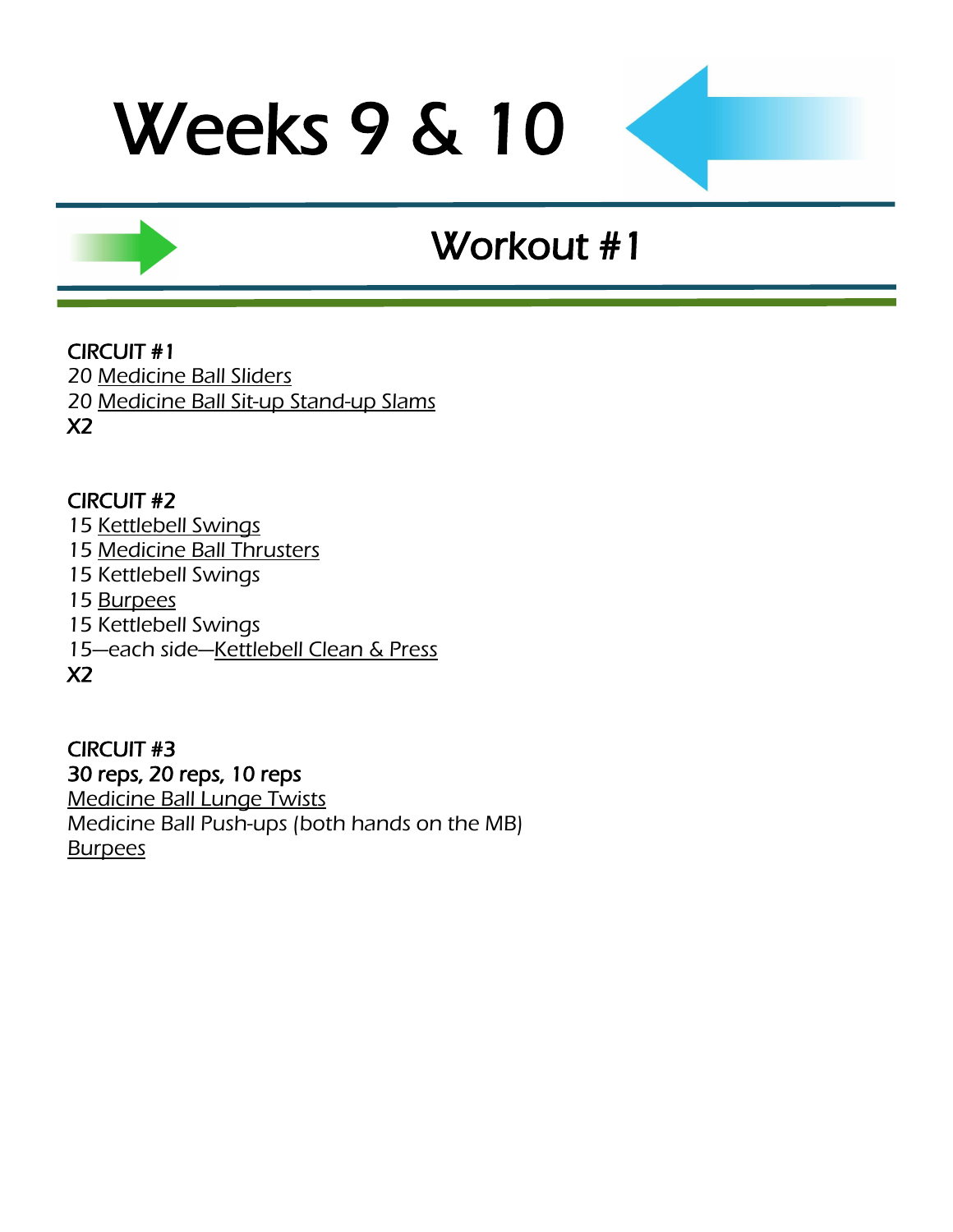## Workout #1

CIRCUIT #1 20 [Medicine Ball Sliders](http://www.youtube.com/watch?v=CCH0lPn9gP0) 20 [Medicine Ball Sit-up Stand-up Slams](http://www.youtube.com/watch?v=tuNLQyVAclI) X2

#### CIRCUIT #2

15 [Kettlebell Swings](http://www.youtube.com/watch?v=Iqfec2HO6rc) 15 [Medicine Ball Thrusters](http://www.youtube.com/watch?v=9PmMKO9UCNI) 15 Kettlebell Swings 15 [Burpees](http://www.youtube.com/watch?v=c_Dq_NCzj8M&feature=related) 15 Kettlebell Swings 15—each side—[Kettlebell Clean & Press](http://www.youtube.com/watch?v=H7tzcQjde3g&feature=fvwrel) X2

CIRCUIT #3 30 reps, 20 reps, 10 reps [Medicine Ball Lunge Twists](http://www.youtube.com/watch?v=H0HLl6DnQ90) Medicine Ball Push-ups (both hands on the MB) **[Burpees](http://www.youtube.com/watch?v=c_Dq_NCzj8M&feature=related)**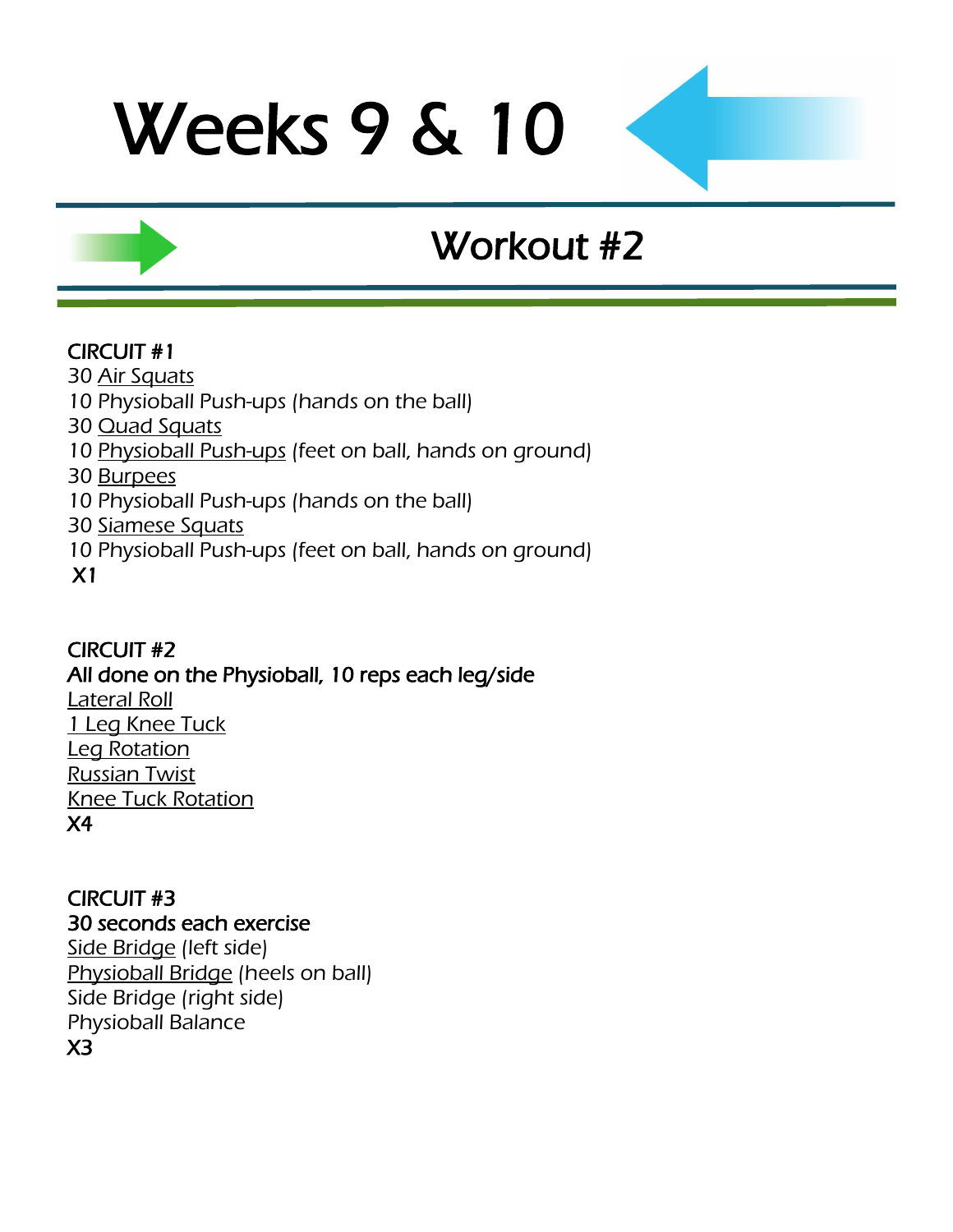## Workout #2

### CIRCUIT #1

- 30 [Air Squats](http://www.youtube.com/watch?v=zf2SWnIQbwI&feature=player_embedded)
- 10 Physioball Push-ups (hands on the ball)
- 30 [Quad Squats](http://www.youtube.com/watch?v=5Q5v3WaT-yY)
- 10 [Physioball Push-ups](http://www.youtube.com/watch?v=GzqDAFNhFO0) (feet on ball, hands on ground)
- 30 [Burpees](http://www.youtube.com/watch?v=c_Dq_NCzj8M&feature=related)
- 10 Physioball Push-ups (hands on the ball)
- 30 [Siamese Squats](http://www.youtube.com/watch?v=o3nHRWuxTf0)
- 10 Physioball Push-ups (feet on ball, hands on ground)
- X1

### CIRCUIT #2 All done on the Physioball, 10 reps each leg/side [Lateral Roll](http://www.youtube.com/watch?v=ua9KYguBt8E) [1 Leg Knee Tuck](http://www.youtube.com/watch?v=hr3yEf6d1Yc) [Leg Rotation](http://www.youtube.com/watch?v=sLJuVSUmGgQ) [Russian Twist](http://www.youtube.com/watch?v=8DdlxChLme4) [Knee Tuck Rotation](http://www.youtube.com/watch?v=vfqkPjGLhmc) X4

CIRCUIT #3 30 seconds each exercise [Side Bridge](http://www.youtube.com/watch?v=_6vjo5yFo1U) (left side) [Physioball Bridge](http://www.youtube.com/watch?v=GTsmpxag4GM) (heels on ball) Side Bridge (right side) Physioball Balance X3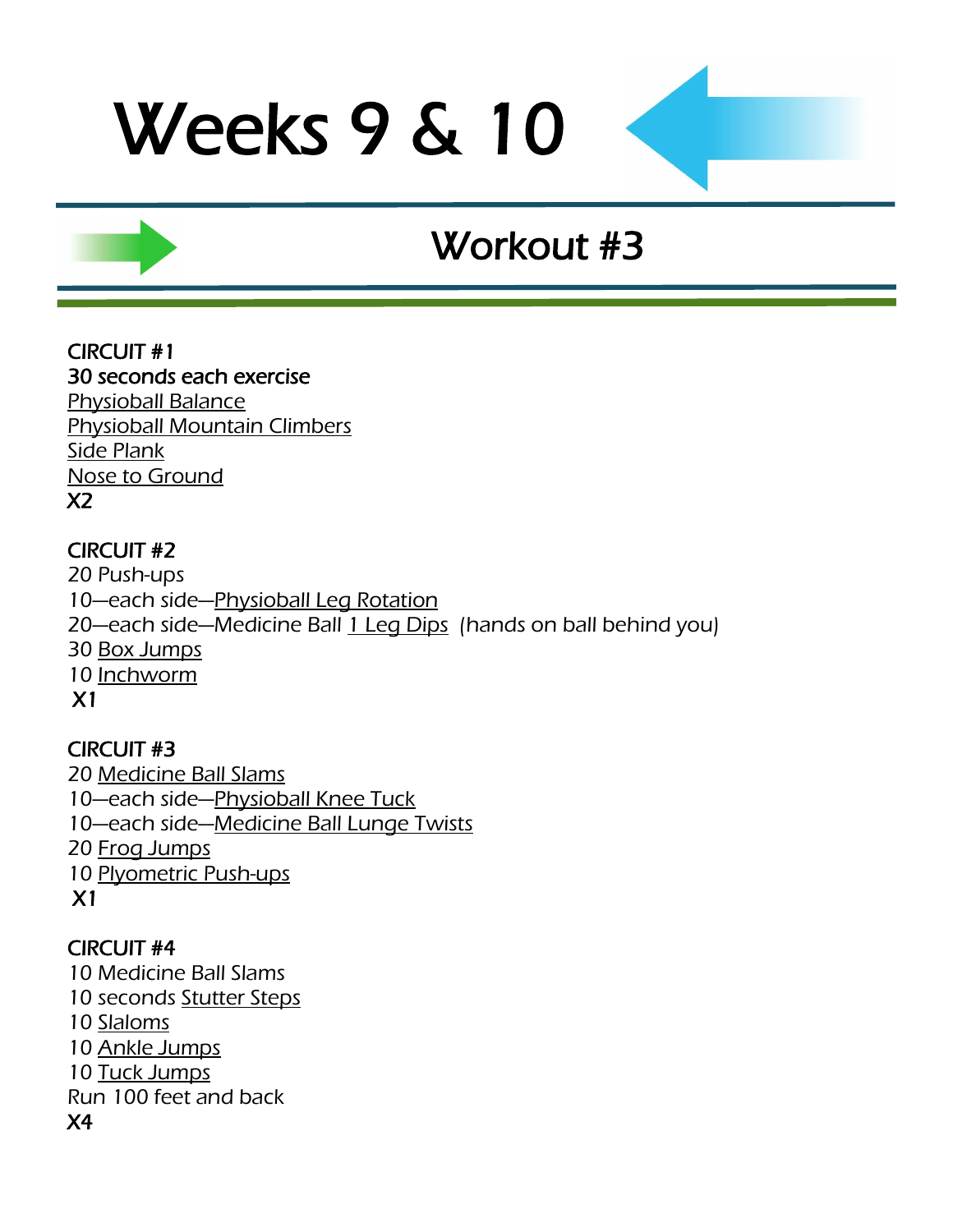## Workout #3

CIRCUIT #1 30 seconds each exercise [Physioball Balance](http://www.youtube.com/watch?v=VTumhqtrDMY) [Physioball Mountain Climbers](http://www.youtube.com/watch?v=t8D3CMqTuik) [Side Plank](http://www.youtube.com/watch?v=_6vjo5yFo1U) [Nose to Ground](http://www.youtube.com/watch?v=Qjt1m6LHVxw) X2

### CIRCUIT #2

20 Push-ups 10-each side-[Physioball Leg Rotation](http://www.youtube.com/watch?v=sLJuVSUmGgQ) 20—each side—Medicine Ball [1 Leg Dips](http://www.youtube.com/watch?v=cmtiXQkqFiA) (hands on ball behind you) 30 [Box Jumps](http://www.youtube.com/watch?v=UweKybOuivA) 10 [Inchworm](http://www.youtube.com/watch?v=3ncHhj4FjFE) X1

CIRCUIT #3 [Medicine Ball Slams](http://www.youtube.com/watch?v=12IUGflssEI) —each side—[Physioball Knee Tuck](http://www.youtube.com/watch?v=hr3yEf6d1Yc) —each side—[Medicine Ball](http://www.youtube.com/watch?v=H0HLl6DnQ90) Lunge Twists [Frog Jumps](http://www.youtube.com/watch?v=ot_to1gZwjI) [Plyometric Push-ups](http://www.youtube.com/watch?v=ti0ugruVaGI) X1

### CIRCUIT #4

10 Medicine Ball Slams 10 seconds [Stutter Steps](http://www.youtube.com/watch?v=Zx-mRiCVbOw) 10 [Slaloms](http://www.youtube.com/watch?v=WfrB6n3la0Q) 10 [Ankle Jumps](http://www.youtube.com/watch?v=Yrbq2ytO78s) 10 [Tuck Jumps](http://www.youtube.com/watch?v=JlI_oY2Qmro&feature=related) Run 100 feet and back X4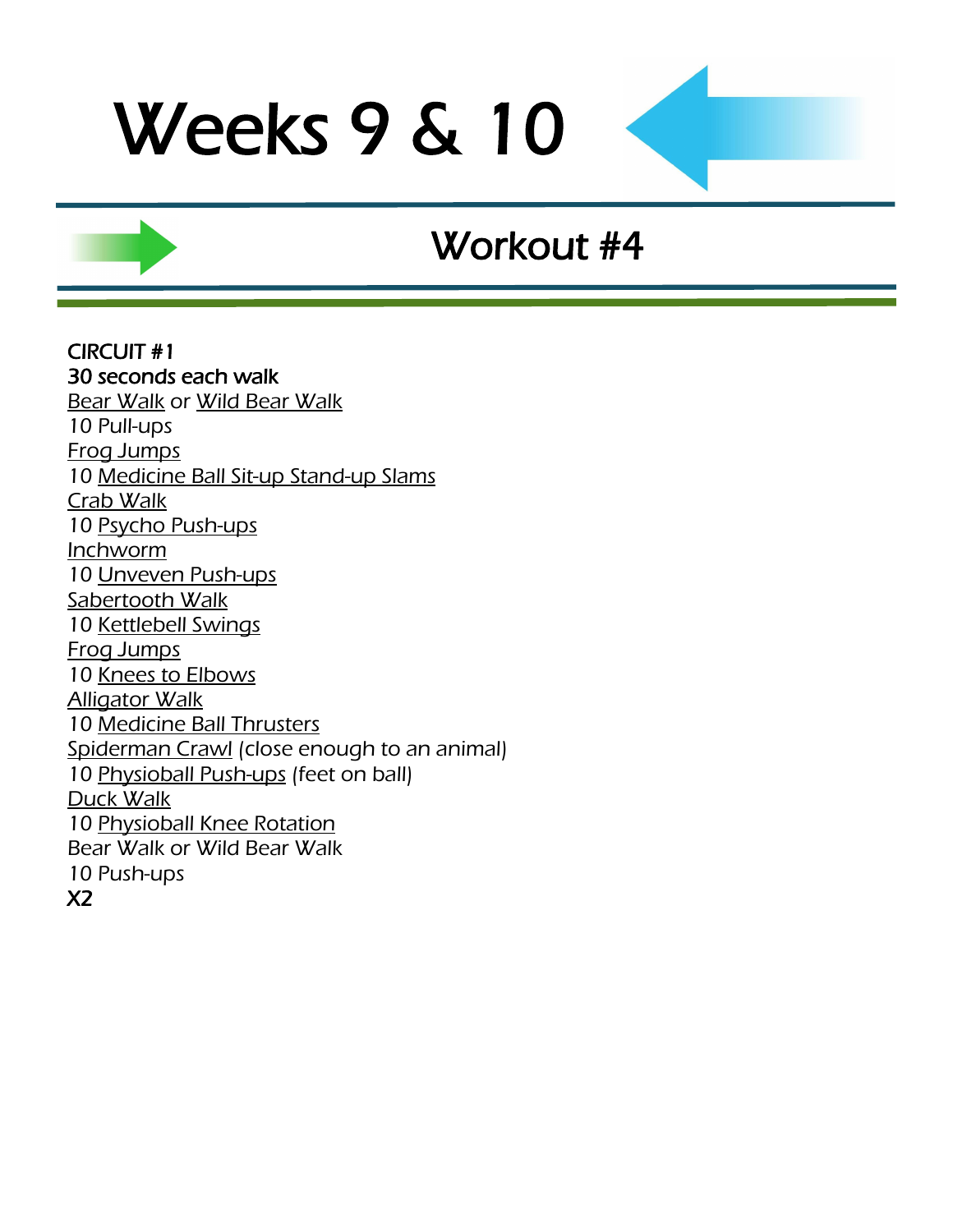## Workout #4

CIRCUIT #1 30 seconds each walk **[Bear Walk](http://www.youtube.com/watch?v=-OKN0zDXC7k) or [Wild Bear Walk](http://www.youtube.com/watch?v=Y6fvxyhPpH8)** 10 Pull-ups [Frog Jumps](http://www.youtube.com/watch?v=ot_to1gZwjI) 10 [Medicine Ball Sit-up Stand-up Slams](http://www.youtube.com/watch?v=tuNLQyVAclI) [Crab Walk](http://www.youtube.com/watch?v=U7n_qKGtPZ4) 10 [Psycho Push-ups](http://www.youtube.com/watch?v=FB9EpuP2pSE) [Inchworm](http://www.youtube.com/watch?v=X68AJbL8oMM) 10 [Unveven Push-ups](http://www.youtube.com/watch?v=RZOK0QS1NMg) [Sabertooth Walk](http://www.youtube.com/watch?v=LaytCn25U_A&feature=fvw) 10 [Kettlebell Swings](http://www.youtube.com/watch?v=Iqfec2HO6rc) [Frog Jumps](http://www.youtube.com/watch?v=ot_to1gZwjI) 10 [Knees to Elbows](http://www.surfbodyfitness.com/crossfitknees2elbows) [Alligator Walk](http://www.youtube.com/watch?v=NngcUQVO8ME) 10 [Medicine Ball Thrusters](http://www.youtube.com/watch?v=9PmMKO9UCNI) [Spiderman Crawl](Spiderman%20Crawl) (close enough to an animal) 10 [Physioball Push-ups](http://www.youtube.com/watch?v=GzqDAFNhFO0) (feet on ball) [Duck Walk](http://www.youtube.com/watch?v=e5lPjg0GhFM&feature=related) 10 [Physioball Knee Rotation](http://www.youtube.com/watch?v=vfqkPjGLhmc) Bear Walk or Wild Bear Walk 10 Push-ups X2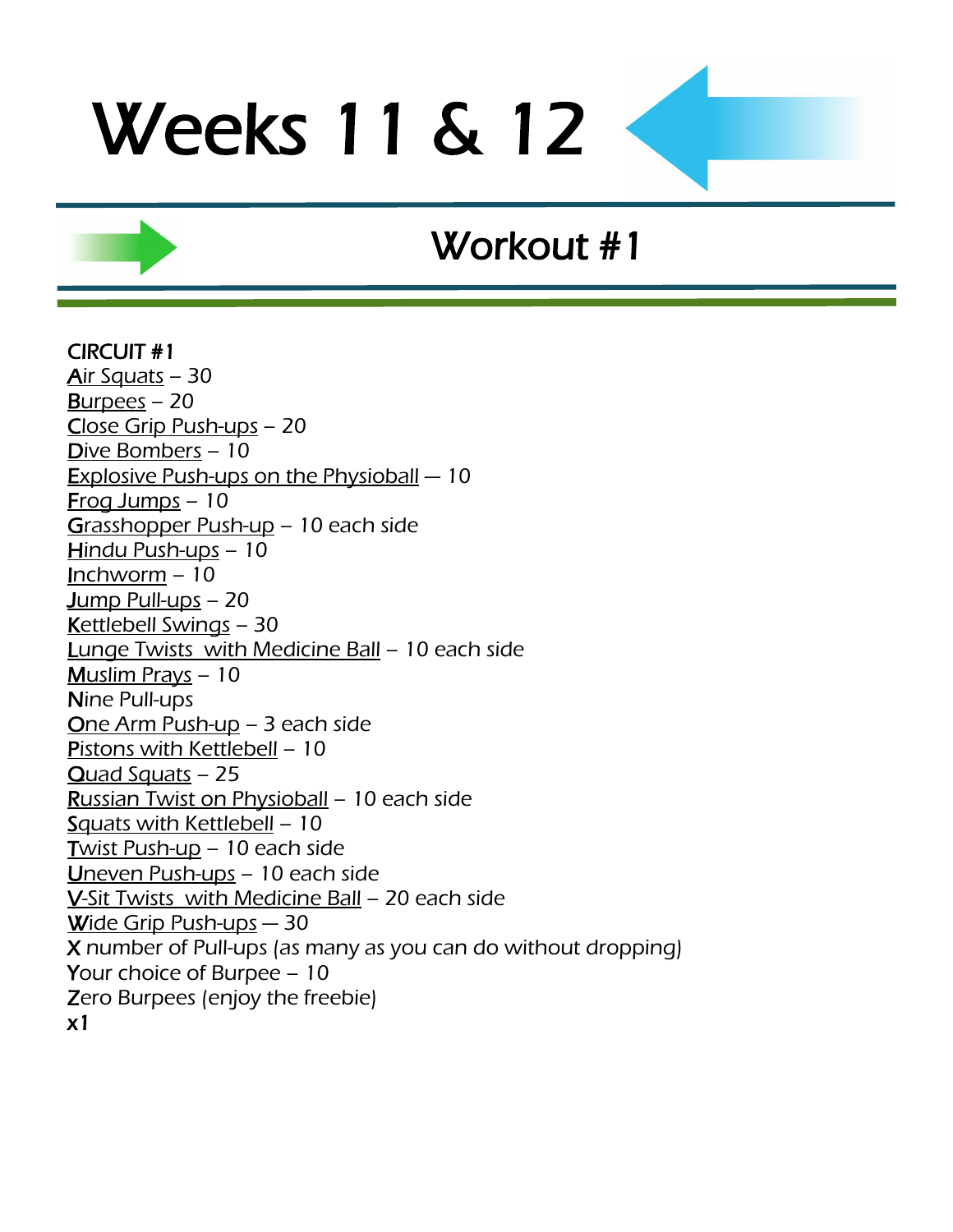## Workout #1

#### CIRCUIT #1

[Air Squats](http://www.youtube.com/watch?v=zf2SWnIQbwI&feature=player_embedded) – 30 [Burpees](http://www.youtube.com/watch?v=c_Dq_NCzj8M&feature=related) – 20 [Close Grip Push-ups](http://www.youtube.com/watch?feature=player_embedded&v=fFm5phmWZvo) – 20 [Dive Bombers](http://www.youtube.com/watch?v=66-v0AaANHk) – 10 [Explosive Push-ups on the Physioball](http://www.youtube.com/watch?v=Qix3XhAJq2o) — 10 [Frog Jumps](http://www.youtube.com/watch?v=ot_to1gZwjI) – 10 [Grasshopper Push-up](http://www.youtube.com/watch?v=cURjlCMV3vE) – 10 each side [Hindu Push-ups](http://www.youtube.com/watch?v=9ndOPrcoUt8) – 10 [Inchworm](http://www.youtube.com/watch?v=X68AJbL8oMM) – 10 [Jump Pull-ups](http://www.youtube.com/watch?v=LawkMoR7t0Q) – 20 [Kettlebell Swings](http://www.youtube.com/watch?v=Iqfec2HO6rc) – 30 Lunge Twists [with Medicine Ball](http://www.youtube.com/watch?v=H0HLl6DnQ90) – 10 each side [Muslim Prays](http://www.youtube.com/watch?v=8PhRjhCtu3U) – 10 Nine Pull-ups [One Arm Push-up](http://www.youtube.com/watch?v=hCiMScUXTp0) – 3 each side [Pistons with Kettlebell](http://www.youtube.com/watch?v=mSS27ETlnh8) – 10 [Quad Squats](http://www.youtube.com/watch?v=5Q5v3WaT-yY) – 25 [Russian Twist on Physioball](http://www.youtube.com/watch?v=8DdlxChLme4) – 10 each side [Squats with Kettlebell](http://www.youtube.com/watch?v=mvVPrpusmrk) – 10 [Twist Push-up](http://www.youtube.com/watch?v=b27ZGq3Wxo4) – 10 each side [Uneven Push-ups](http://www.youtube.com/watch?v=RZOK0QS1NMg) – 10 each side V-Sit Twists [with Medicine Ball](http://www.youtube.com/watch?v=JHgeOdp-COA) – 20 each side [Wide Grip Push-ups](http://www.youtube.com/watch?feature=player_embedded&v=fFm5phmWZvo) — 30 X number of Pull-ups (as many as you can do without dropping) Your choice of Burpee – 10 Zero Burpees (enjoy the freebie) x1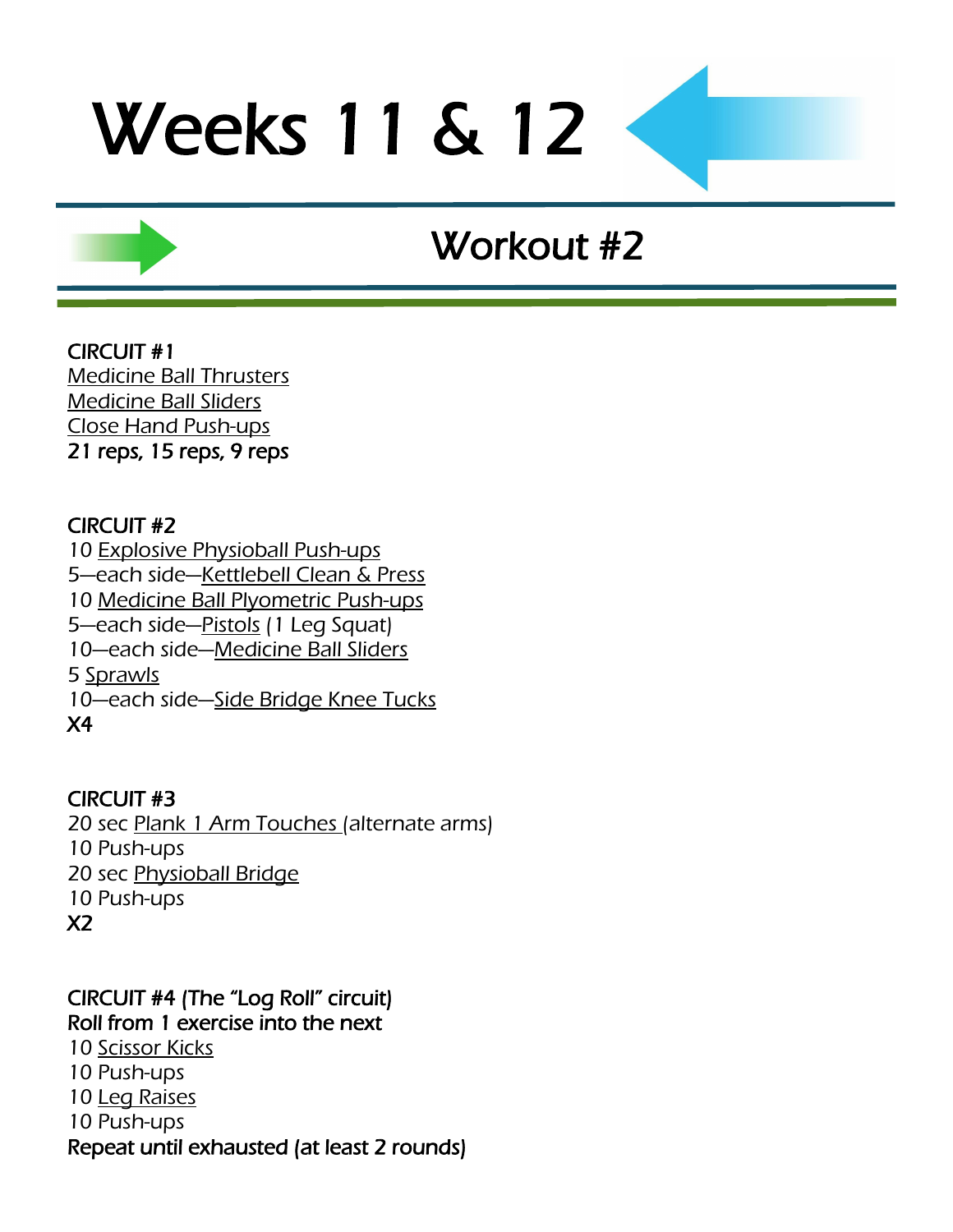## Workout #2

CIRCUIT #1 [Medicine Ball Thrusters](http://www.youtube.com/watch?v=9PmMKO9UCNI) [Medicine Ball Sliders](http://www.youtube.com/watch?v=CCH0lPn9gP0) [Close Hand Push-ups](http://www.youtube.com/watch?v=CWkkn0uo-P4) 21 reps, 15 reps, 9 reps

#### CIRCUIT #2

[Explosive Physioball Push-ups](http://www.youtube.com/watch?v=Qix3XhAJq2o) —each side—[Kettlebell Clean & Press](http://www.youtube.com/watch?v=H7tzcQjde3g&feature=fvwrel) [Medicine Ball Plyometric Push-ups](http://www.youtube.com/watch?v=_FUU8bUxQtk) —each side—[Pistols](http://www.youtube.com/watch?v=FqmYSjE6C2Y) (1 Leg Squat) —each side—[Medicine Ball Sliders](http://www.youtube.com/watch?v=CCH0lPn9gP0) 5 [Sprawls](http://www.youtube.com/watch?v=y0CcmNMeJV0&feature=related) 10—each side—[Side Bridge Knee Tucks](http://www.youtube.com/watch?v=ys612bluWSc) X4

#### CIRCUIT #3

20 sec [Plank 1 Arm Touches \(](http://www.youtube.com/watch?v=yJ54MWYfMsI)alternate arms) 10 Push-ups 20 sec [Physioball](http://www.youtube.com/watch?v=GTsmpxag4GM) Bridge 10 Push-ups X2

CIRCUIT #4 (The "Log Roll" circuit) Roll from 1 exercise into the next 10 [Scissor Kicks](http://www.youtube.com/watch?v=XyLTb8ZTh48) 10 Push-ups 10 [Leg Raises](http://www.youtube.com/watch?v=gMo97vRBg5A) 10 Push-ups Repeat until exhausted (at least 2 rounds)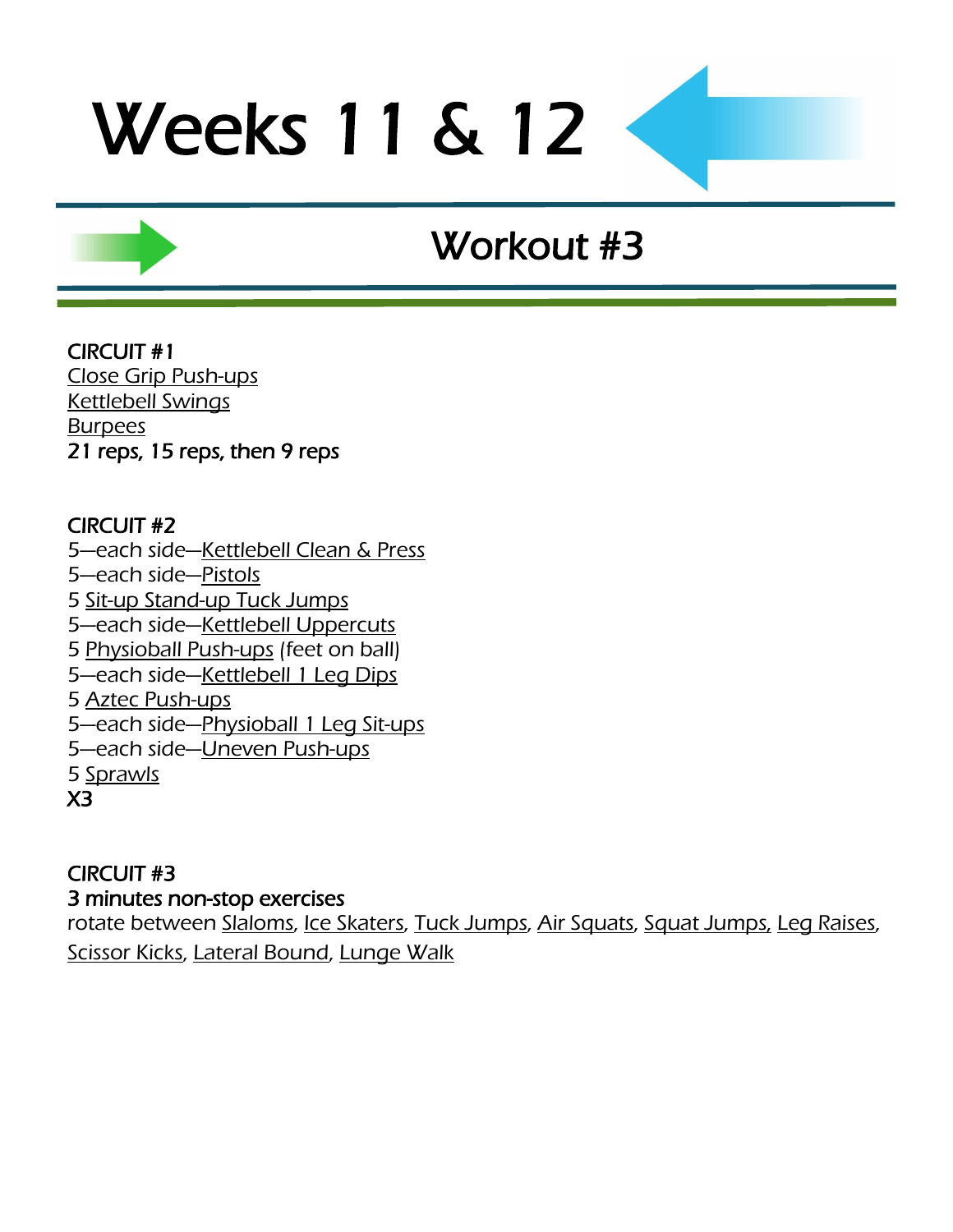## Workout #3

CIRCUIT #1 [Close Grip Push-ups](http://www.youtube.com/watch?feature=player_embedded&v=fFm5phmWZvo) [Kettlebell Swings](http://www.youtube.com/watch?v=Iqfec2HO6rc) **[Burpees](http://www.youtube.com/watch?v=c_Dq_NCzj8M&feature=related)** 21 reps, 15 reps, then 9 reps

### CIRCUIT #2

5-each side-[Kettlebell Clean & Press](http://www.youtube.com/watch?v=H7tzcQjde3g&feature=fvwrel) —each side—[Pistols](http://www.youtube.com/watch?v=FqmYSjE6C2Y) [Sit-up Stand-up Tuck Jumps](http://www.youtube.com/watch?v=Lty7S7MmYdQ) —each side—[Kettlebell Uppercuts](http://www.youtube.com/watch?v=ULPkdOc0jHM) [Physioball Push-ups](http://www.youtube.com/watch?v=GzqDAFNhFO0) (feet on ball) —each side—[Kettlebell 1 Leg](http://www.youtube.com/watch?v=cmtiXQkqFiA) Dips [Aztec Push-ups](http://www.youtube.com/watch?v=QENTRilu8Zc&feature=player_embedded) 5-each side-[Physioball 1 Leg Sit-ups](http://www.youtube.com/watch?v=KiGfgFimgFQ) —each side—[Uneven Push-ups](http://www.youtube.com/watch?v=RZOK0QS1NMg) 5 [Sprawls](http://www.youtube.com/watch?v=y0CcmNMeJV0&feature=related) X3

### CIRCUIT #3

3 minutes non-stop exercises

rotate between [Slaloms,](http://www.youtube.com/watch?v=WfrB6n3la0Q) [Ice Skaters,](http://www.youtube.com/watch?v=NdVRPwPrWOM&feature=PlayList&p=68EAD6311C5A9513&playnext_from=PL&index=41&playnext=2) [Tuck Jumps,](http://www.youtube.com/watch?v=JlI_oY2Qmro&feature=related) [Air Squats,](http://www.youtube.com/watch?v=zf2SWnIQbwI&feature=player_embedded) [Squat Jumps,](http://www.youtube.com/watch?v=56vWSQaTbSo) Leg Raises, [Scissor Kicks,](http://www.youtube.com/watch?v=XyLTb8ZTh48) [Lateral Bound,](http://www.youtube.com/watch?v=e0njPsJqikU) [Lunge Walk](http://www.youtube.com/watch?v=fPCSGUhgxxk)